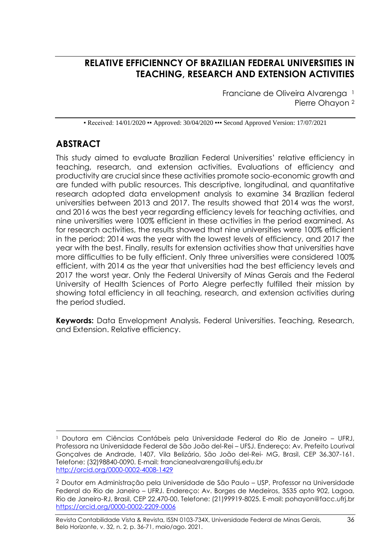## **RELATIVE EFFICIENNCY OF BRAZILIAN FEDERAL UNIVERSITIES IN TEACHING, RESEARCH AND EXTENSION ACTIVITIES**

Franciane de Oliveira Alvarenga<sup>1</sup> Pierre Ohayon <sup>2</sup>

• Received: 14/01/2020 • Approved: 30/04/2020 •• Second Approved Version: 17/07/2021

# **ABSTRACT**

This study aimed to evaluate Brazilian Federal Universities' relative efficiency in teaching, research, and extension activities. Evaluations of efficiency and productivity are crucial since these activities promote socio-economic growth and are funded with public resources. This descriptive, longitudinal, and quantitative research adopted data envelopment analysis to examine 34 Brazilian federal universities between 2013 and 2017. The results showed that 2014 was the worst, and 2016 was the best year regarding efficiency levels for teaching activities, and nine universities were 100% efficient in these activities in the period examined. As for research activities, the results showed that nine universities were 100% efficient in the period; 2014 was the year with the lowest levels of efficiency, and 2017 the year with the best. Finally, results for extension activities show that universities have more difficulties to be fully efficient. Only three universities were considered 100% efficient, with 2014 as the year that universities had the best efficiency levels and 2017 the worst year. Only the Federal University of Minas Gerais and the Federal University of Health Sciences of Porto Alegre perfectly fulfilled their mission by showing total efficiency in all teaching, research, and extension activities during the period studied.

**Keywords:** Data Envelopment Analysis. Federal Universities. Teaching, Research, and Extension. Relative efficiency.

<sup>1</sup> Doutora em Ciências Contábeis pela Universidade Federal do Rio de Janeiro – UFRJ, Professora na Universidade Federal de São João del-Rei – UFSJ. Endereço: Av. Prefeito Lourival Gonçalves de Andrade, 1407, Vila Belizário, São João del-Rei- MG, Brasil, CEP 36.307-161. Telefone: (32)98840-0090. E-mail: francianealvarenga@ufsj.edu.br <http://orcid.org/0000-0002-4008-1429>

<sup>2</sup> Doutor em Administração pela Universidade de São Paulo – USP, Professor na Universidade Federal do Rio de Janeiro – UFRJ. Endereço: Av. Borges de Medeiros, 3535 apto 902, Lagoa, Rio de Janeiro-RJ, Brasil, CEP 22.470-00. Telefone: (21)99919-8025. E-mail: pohayon@facc.ufrj.br https://orcid.org/0000-0002-2209-0006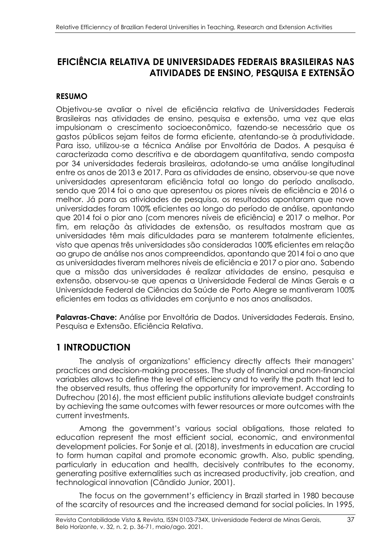## **EFICIÊNCIA RELATIVA DE UNIVERSIDADES FEDERAIS BRASILEIRAS NAS ATIVIDADES DE ENSINO, PESQUISA E EXTENSÃO**

### **RESUMO**

Objetivou-se avaliar o nível de eficiência relativa de Universidades Federais Brasileiras nas atividades de ensino, pesquisa e extensão, uma vez que elas impulsionam o crescimento socioeconômico, fazendo-se necessário que os gastos públicos sejam feitos de forma eficiente, atentando-se à produtividade. Para isso, utilizou-se a técnica Análise por Envoltória de Dados. A pesquisa é caracterizada como descritiva e de abordagem quantitativa, sendo composta por 34 universidades federais brasileiras, adotando-se uma análise longitudinal entre os anos de 2013 e 2017. Para as atividades de ensino, observou-se que nove universidades apresentaram eficiência total ao longo do período analisado, sendo que 2014 foi o ano que apresentou os piores níveis de eficiência e 2016 o melhor. Já para as atividades de pesquisa, os resultados apontaram que nove universidades foram 100% eficientes ao longo do período de análise, apontando que 2014 foi o pior ano (com menores níveis de eficiência) e 2017 o melhor. Por fim, em relação às atividades de extensão, os resultados mostram que as universidades têm mais dificuldades para se manterem totalmente eficientes, visto que apenas três universidades são consideradas 100% eficientes em relação ao grupo de análise nos anos compreendidos, apontando que 2014 foi o ano que as universidades tiveram melhores níveis de eficiência e 2017 o pior ano. Sabendo que a missão das universidades é realizar atividades de ensino, pesquisa e extensão, observou-se que apenas a Universidade Federal de Minas Gerais e a Universidade Federal de Ciências da Saúde de Porto Alegre se mantiveram 100% eficientes em todas as atividades em conjunto e nos anos analisados.

**Palavras-Chave:** Análise por Envoltória de Dados. Universidades Federais. Ensino, Pesquisa e Extensão. Eficiência Relativa.

## **1 INTRODUCTION**

The analysis of organizations' efficiency directly affects their managers' practices and decision-making processes. The study of financial and non-financial variables allows to define the level of efficiency and to verify the path that led to the observed results, thus offering the opportunity for improvement. According to Dufrechou (2016), the most efficient public institutions alleviate budget constraints by achieving the same outcomes with fewer resources or more outcomes with the current investments.

Among the government's various social obligations, those related to education represent the most efficient social, economic, and environmental development policies. For Sonje et al. (2018), investments in education are crucial to form human capital and promote economic growth. Also, public spending, particularly in education and health, decisively contributes to the economy, generating positive externalities such as increased productivity, job creation, and technological innovation (Cândido Junior, 2001).

The focus on the government's efficiency in Brazil started in 1980 because of the scarcity of resources and the increased demand for social policies. In 1995,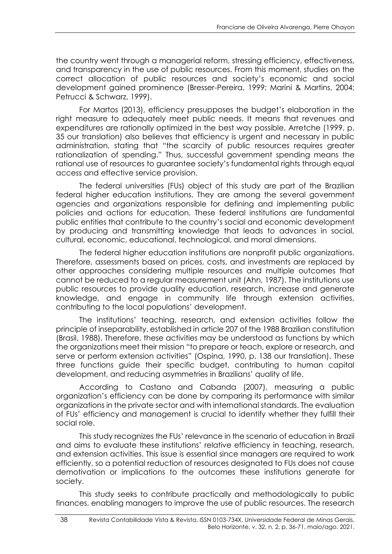the country went through a managerial reform, stressing efficiency, effectiveness, and transparency in the use of public resources. From this moment, studies on the correct allocation of public resources and society's economic and social development gained prominence (Bresser-Pereira, 1999; Marini & Martins, 2004; Petrucci & Schwarz, 1999).

For Martos (2013), efficiency presupposes the budget's elaboration in the right measure to adequately meet public needs. It means that revenues and expenditures are rationally optimized in the best way possible. Arretche (1999, p. 35 our translation) also believes that efficiency is urgent and necessary in public administration, stating that "the scarcity of public resources requires greater rationalization of spending." Thus, successful government spending means the rational use of resources to guarantee society's fundamental rights through equal access and effective service provision.

The federal universities (FUs) object of this study are part of the Brazilian federal higher education institutions. They are among the several government agencies and organizations responsible for defining and implementing public policies and actions for education. These federal institutions are fundamental public entities that contribute to the country's social and economic development by producing and transmitting knowledge that leads to advances in social, cultural, economic, educational, technological, and moral dimensions.

The federal higher education institutions are nonprofit public organizations. Therefore, assessments based on prices, costs, and investments are replaced by other approaches considering multiple resources and multiple outcomes that cannot be reduced to a regular measurement unit (Ahn, 1987). The institutions use public resources to provide quality education, research, increase and generate knowledge, and engage in community life through extension activities, contributing to the local populations' development.

The institutions' teaching, research, and extension activities follow the principle of inseparability, established in article 207 of the 1988 Brazilian constitution (Brasil, 1988). Therefore, these activities may be understood as functions by which the organizations meet their mission "to prepare or teach, explore or research, and serve or perform extension activities" (Ospina, 1990, p. 138 our translation). These three functions guide their specific budget, contributing to human capital development, and reducing asymmetries in Brazilians' quality of life.

According to Castano and Cabanda (2007), measuring a public organization's efficiency can be done by comparing its performance with similar organizations in the private sector and with international standards. The evaluation of FUs' efficiency and management is crucial to identify whether they fulfill their social role.

This study recognizes the FUs' relevance in the scenario of education in Brazil and aims to evaluate these institutions' relative efficiency in teaching, research, and extension activities. This issue is essential since managers are required to work efficiently, so a potential reduction of resources designated to FUs does not cause demotivation or implications to the outcomes these institutions generate for society.

This study seeks to contribute practically and methodologically to public finances, enabling managers to improve the use of public resources. The research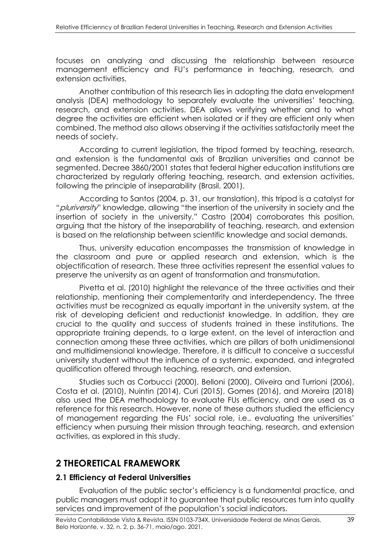focuses on analyzing and discussing the relationship between resource management efficiency and FU's performance in teaching, research, and extension activities.

Another contribution of this research lies in adopting the data envelopment analysis (DEA) methodology to separately evaluate the universities' teaching, research, and extension activities. DEA allows verifying whether and to what degree the activities are efficient when isolated or if they are efficient only when combined. The method also allows observing if the activities satisfactorily meet the needs of society.

According to current legislation, the tripod formed by teaching, research, and extension is the fundamental axis of Brazilian universities and cannot be segmented. Decree 3860/2001 states that federal higher education institutions are characterized by regularly offering teaching, research, and extension activities, following the principle of inseparability (Brasil, 2001).

According to Santos (2004, p. 31, our translation), this tripod is a catalyst for "*pluriversity*" knowledge, allowing "the insertion of the university in society and the insertion of society in the university." Castro (2004) corroborates this position, arguing that the history of the inseparability of teaching, research, and extension is based on the relationship between scientific knowledge and social demands.

Thus, university education encompasses the transmission of knowledge in the classroom and pure or applied research and extension, which is the objectification of research. These three activities represent the essential values to preserve the university as an agent of transformation and transmutation.

Pivetta et al. (2010) highlight the relevance of the three activities and their relationship, mentioning their complementarity and interdependency. The three activities must be recognized as equally important in the university system, at the risk of developing deficient and reductionist knowledge. In addition, they are crucial to the quality and success of students trained in these institutions. The appropriate training depends, to a large extent, on the level of interaction and connection among these three activities, which are pillars of both unidimensional and multidimensional knowledge. Therefore, it is difficult to conceive a successful university student without the influence of a systemic, expanded, and integrated qualification offered through teaching, research, and extension.

Studies such as Corbucci (2000), Belloni (2000), Oliveira and Turrioni (2006), Costa et al. (2010), Nuintin (2014), Curi (2015), Gomes (2016), and Moreira (2018) also used the DEA methodology to evaluate FUs efficiency, and are used as a reference for this research. However, none of these authors studied the efficiency of management regarding the FUs' social role, i.e., evaluating the universities' efficiency when pursuing their mission through teaching, research, and extension activities, as explored in this study.

## **2 THEORETICAL FRAMEWORK**

#### **2.1 Efficiency at Federal Universities**

Evaluation of the public sector's efficiency is a fundamental practice, and public managers must adopt it to guarantee that public resources turn into quality services and improvement of the population's social indicators.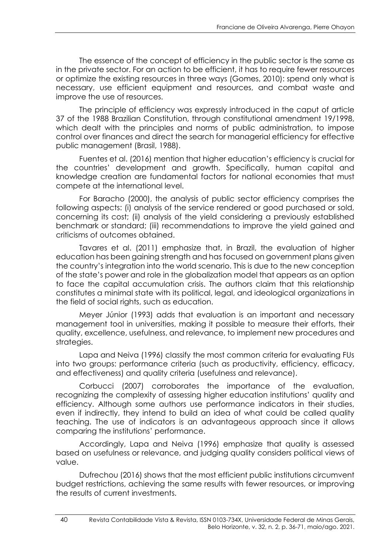The essence of the concept of efficiency in the public sector is the same as in the private sector. For an action to be efficient, it has to require fewer resources or optimize the existing resources in three ways (Gomes, 2010): spend only what is necessary, use efficient equipment and resources, and combat waste and improve the use of resources.

The principle of efficiency was expressly introduced in the caput of article 37 of the 1988 Brazilian Constitution, through constitutional amendment 19/1998, which dealt with the principles and norms of public administration, to impose control over finances and direct the search for managerial efficiency for effective public management (Brasil, 1988).

Fuentes et al. (2016) mention that higher education's efficiency is crucial for the countries' development and growth. Specifically, human capital and knowledge creation are fundamental factors for national economies that must compete at the international level.

For Baracho (2000), the analysis of public sector efficiency comprises the following aspects: (i) analysis of the service rendered or good purchased or sold, concerning its cost; (ii) analysis of the yield considering a previously established benchmark or standard; (iii) recommendations to improve the yield gained and criticisms of outcomes obtained.

Tavares et al. (2011) emphasize that, in Brazil, the evaluation of higher education has been gaining strength and has focused on government plans given the country's integration into the world scenario. This is due to the new conception of the state's power and role in the globalization model that appears as an option to face the capital accumulation crisis. The authors claim that this relationship constitutes a minimal state with its political, legal, and ideological organizations in the field of social rights, such as education.

Meyer Júnior (1993) adds that evaluation is an important and necessary management tool in universities, making it possible to measure their efforts, their quality, excellence, usefulness, and relevance, to implement new procedures and strategies.

Lapa and Neiva (1996) classify the most common criteria for evaluating FUs into two groups: performance criteria (such as productivity, efficiency, efficacy, and effectiveness) and quality criteria (usefulness and relevance).

Corbucci (2007) corroborates the importance of the evaluation, recognizing the complexity of assessing higher education institutions' quality and efficiency. Although some authors use performance indicators in their studies, even if indirectly, they intend to build an idea of what could be called quality teaching. The use of indicators is an advantageous approach since it allows comparing the institutions' performance.

Accordingly, Lapa and Neiva (1996) emphasize that quality is assessed based on usefulness or relevance, and judging quality considers political views of value.

Dufrechou (2016) shows that the most efficient public institutions circumvent budget restrictions, achieving the same results with fewer resources, or improving the results of current investments.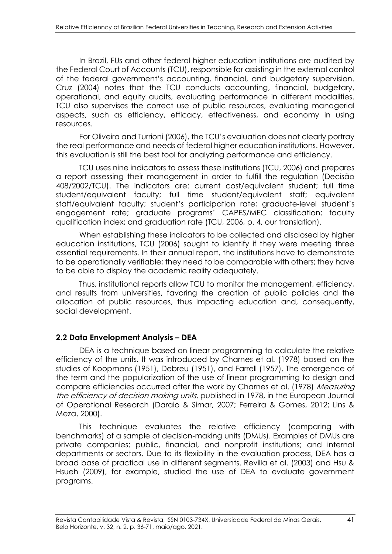In Brazil, FUs and other federal higher education institutions are audited by the Federal Court of Accounts (TCU), responsible for assisting in the external control of the federal government's accounting, financial, and budgetary supervision. Cruz (2004) notes that the TCU conducts accounting, financial, budgetary, operational, and equity audits, evaluating performance in different modalities. TCU also supervises the correct use of public resources, evaluating managerial aspects, such as efficiency, efficacy, effectiveness, and economy in using resources.

For Oliveira and Turrioni (2006), the TCU's evaluation does not clearly portray the real performance and needs of federal higher education institutions. However, this evaluation is still the best tool for analyzing performance and efficiency.

TCU uses nine indicators to assess these institutions (TCU, 2006) and prepares a report assessing their management in order to fulfill the regulation (Decisão 408/2002/TCU). The indicators are: current cost/equivalent student; full time student/equivalent faculty; full time student/equivalent staff; equivalent staff/equivalent faculty; student's participation rate; graduate-level student's engagement rate; graduate programs' CAPES/MEC classification; faculty qualification index; and graduation rate (TCU, 2006, p. 4, our translation).

When establishing these indicators to be collected and disclosed by higher education institutions, TCU (2006) sought to identify if they were meeting three essential requirements. In their annual report, the institutions have to demonstrate to be operationally verifiable; they need to be comparable with others; they have to be able to display the academic reality adequately.

Thus, institutional reports allow TCU to monitor the management, efficiency, and results from universities, favoring the creation of public policies and the allocation of public resources, thus impacting education and, consequently, social development.

### **2.2 Data Envelopment Analysis – DEA**

DEA is a technique based on linear programming to calculate the relative efficiency of the units. It was introduced by Charnes et al. (1978) based on the studies of Koopmans (1951), Debreu (1951), and Farrell (1957). The emergence of the term and the popularization of the use of linear programming to design and compare efficiencies occurred after the work by Charnes et al. (1978) Measuring the efficiency of decision making units, published in 1978, in the European Journal of Operational Research (Daraio & Simar, 2007; Ferreira & Gomes, 2012; Lins & Meza, 2000).

This technique evaluates the relative efficiency (comparing with benchmarks) of a sample of decision-making units (DMUs). Examples of DMUs are private companies; public, financial, and nonprofit institutions; and internal departments or sectors. Due to its flexibility in the evaluation process, DEA has a broad base of practical use in different segments. Revilla et al. (2003) and Hsu & Hsueh (2009), for example, studied the use of DEA to evaluate government programs.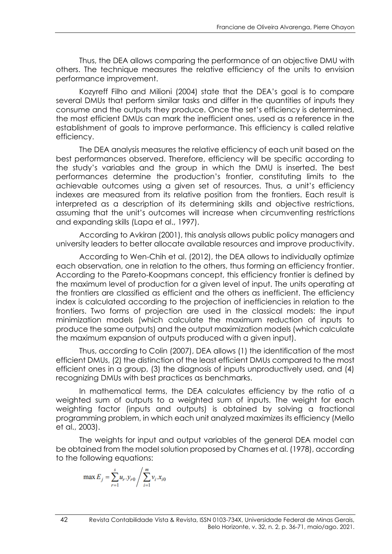Thus, the DEA allows comparing the performance of an objective DMU with others. The technique measures the relative efficiency of the units to envision performance improvement.

Kozyreff Filho and Milioni (2004) state that the DEA's goal is to compare several DMUs that perform similar tasks and differ in the quantities of inputs they consume and the outputs they produce. Once the set's efficiency is determined, the most efficient DMUs can mark the inefficient ones, used as a reference in the establishment of goals to improve performance. This efficiency is called relative efficiency.

The DEA analysis measures the relative efficiency of each unit based on the best performances observed. Therefore, efficiency will be specific according to the study's variables and the group in which the DMU is inserted. The best performances determine the production's frontier, constituting limits to the achievable outcomes using a given set of resources. Thus, a unit's efficiency indexes are measured from its relative position from the frontiers. Each result is interpreted as a description of its determining skills and objective restrictions, assuming that the unit's outcomes will increase when circumventing restrictions and expanding skills (Lapa et al., 1997).

According to Avkiran (2001), this analysis allows public policy managers and university leaders to better allocate available resources and improve productivity.

According to Wen-Chih et al. (2012), the DEA allows to individually optimize each observation, one in relation to the others, thus forming an efficiency frontier. According to the Pareto-Koopmans concept, this efficiency frontier is defined by the maximum level of production for a given level of input. The units operating at the frontiers are classified as efficient and the others as inefficient. The efficiency index is calculated according to the projection of inefficiencies in relation to the frontiers. Two forms of projection are used in the classical models: the input minimization models (which calculate the maximum reduction of inputs to produce the same outputs) and the output maximization models (which calculate the maximum expansion of outputs produced with a given input).

Thus, according to Colin (2007), DEA allows (1) the identification of the most efficient DMUs, (2) the distinction of the least efficient DMUs compared to the most efficient ones in a group, (3) the diagnosis of inputs unproductively used, and (4) recognizing DMUs with best practices as benchmarks.

In mathematical terms, the DEA calculates efficiency by the ratio of a weighted sum of outputs to a weighted sum of inputs. The weight for each weighting factor (inputs and outputs) is obtained by solving a fractional programming problem, in which each unit analyzed maximizes its efficiency (Mello et al., 2003).

The weights for input and output variables of the general DEA model can be obtained from the model solution proposed by Charnes et al. (1978), according to the following equations:

$$
\max E_j = \sum_{r=1}^{s} u_r \cdot y_{r0} / \sum_{i=1}^{m} v_i \cdot x_{i0}
$$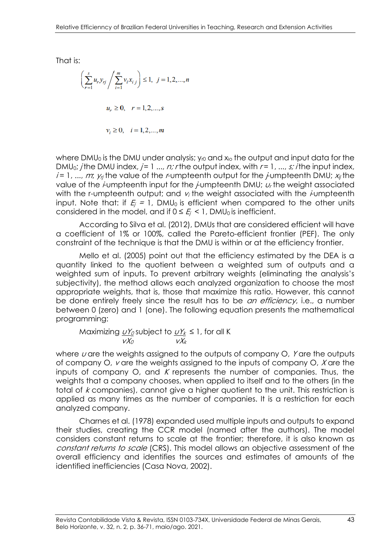That is:

$$
\left(\sum_{r=1}^{s} u_r y_{rj} / \sum_{i=1}^{m} v_i x_{i,j}\right) \le 1, \ j = 1, 2, ..., n
$$
  

$$
u_r \ge 0, \quad r = 1, 2, ..., s
$$
  

$$
v_i \ge 0, \quad i = 1, 2, ..., m
$$

where DMU<sub>0</sub> is the DMU under analysis;  $y_0$  and  $x_0$  the output and input data for the DMU<sub>0</sub>; *j* the DMU index, *j* = 1 ..., *n; r* the output index, with *r* = 1, ..., *s; i* the input index,  $i = 1, ..., m$ ;  $y_{ij}$  the value of the *r*-umpteenth output for the *j*-umpteenth DMU;  $x_{ij}$  the value of the *i*-umpteenth input for the *j*-umpteenth DMU;  $u_t$  the weight associated with the r-umpteenth output; and  $v_i$  the weight associated with the *i*-umpteenth input. Note that: if  $E_i = 1$ , DMU<sub>0</sub> is efficient when compared to the other units considered in the model, and if  $0 \le E_i \le 1$ , DMU<sub>0</sub> is inefficient.

According to Silva et al. (2012), DMUs that are considered efficient will have a coefficient of 1% or 100%, called the Pareto-efficient frontier (PEF). The only constraint of the technique is that the DMU is within or at the efficiency frontier.

Mello et al. (2005) point out that the efficiency estimated by the DEA is a quantity linked to the quotient between a weighted sum of outputs and a weighted sum of inputs. To prevent arbitrary weights (eliminating the analysis's subjectivity), the method allows each analyzed organization to choose the most appropriate weights, that is, those that maximize this ratio. However, this cannot be done entirely freely since the result has to be *an efficiency*, i.e., a number between 0 (zero) and 1 (one). The following equation presents the mathematical programming:

Maximizing  $\underline{\nu Y_{\varrho}}$  subject to  $\underline{\nu Y_{k}}\leq 1$  , for all K  $\mathcal{V} \mathcal{X}_O$  is  $\mathcal{V} \mathcal{X}_k$ 

where  $u$  are the weights assigned to the outputs of company  $O$ , Y are the outputs of company O,  $\nu$  are the weights assigned to the inputs of company O,  $X$  are the inputs of company  $O$ , and K represents the number of companies. Thus, the weights that a company chooses, when applied to itself and to the others (in the total of k companies), cannot give a higher quotient to the unit. This restriction is applied as many times as the number of companies. It is a restriction for each analyzed company.

Charnes et al. (1978) expanded used multiple inputs and outputs to expand their studies, creating the CCR model (named after the authors). The model considers constant returns to scale at the frontier; therefore, it is also known as constant returns to scale (CRS). This model allows an objective assessment of the overall efficiency and identifies the sources and estimates of amounts of the identified inefficiencies (Casa Nova, 2002).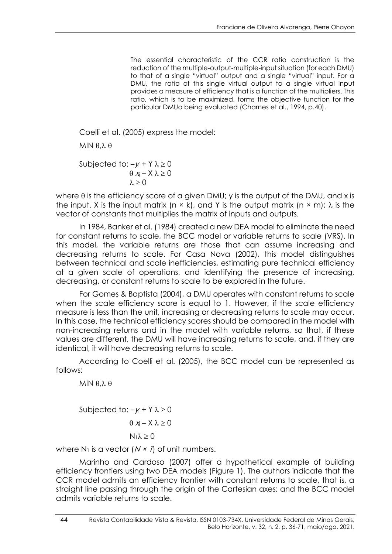The essential characteristic of the CCR ratio construction is the reduction of the multiple-output-multiple-input situation (for each DMU) to that of a single "virtual" output and a single "virtual" input. For a DMU, the ratio of this single virtual output to a single virtual input provides a measure of efficiency that is a function of the multipliers. This ratio, which is to be maximized, forms the objective function for the particular DMUo being evaluated (Charnes et al., 1994, p.40).

Coelli et al. (2005) express the model:

MIN  $\theta$   $\lambda$   $\theta$ 

Subjected to:  $-y_i + Y \lambda \ge 0$  $\theta$  xi – X  $\lambda$   $\geq$  0  $\lambda > 0$ 

where  $\theta$  is the efficiency score of a given DMU; y is the output of the DMU, and x is the input. X is the input matrix (n  $\times$  k), and Y is the output matrix (n  $\times$  m);  $\lambda$  is the vector of constants that multiplies the matrix of inputs and outputs.

In 1984, Banker et al. (1984) created a new DEA model to eliminate the need for constant returns to scale, the BCC model or variable returns to scale (VRS). In this model, the variable returns are those that can assume increasing and decreasing returns to scale. For Casa Nova (2002), this model distinguishes between technical and scale inefficiencies, estimating pure technical efficiency at a given scale of operations, and identifying the presence of increasing, decreasing, or constant returns to scale to be explored in the future.

For Gomes & Baptista (2004), a DMU operates with constant returns to scale when the scale efficiency score is equal to 1. However, if the scale efficiency measure is less than the unit, increasing or decreasing returns to scale may occur. In this case, the technical efficiency scores should be compared in the model with non-increasing returns and in the model with variable returns, so that, if these values are different, the DMU will have increasing returns to scale, and, if they are identical, it will have decreasing returns to scale.

According to Coelli et al. (2005), the BCC model can be represented as follows:

MIN  $\theta$ , $\lambda$   $\theta$ 

Subjected to:  $-y_i + Y \lambda \ge 0$  $\theta$  xi – X  $\lambda$  > 0

$$
N_1\lambda\geq 0
$$

where  $N_1$  is a vector  $(N \times I)$  of unit numbers.

Marinho and Cardoso (2007) offer a hypothetical example of building efficiency frontiers using two DEA models (Figure 1). The authors indicate that the CCR model admits an efficiency frontier with constant returns to scale, that is, a straight line passing through the origin of the Cartesian axes; and the BCC model admits variable returns to scale.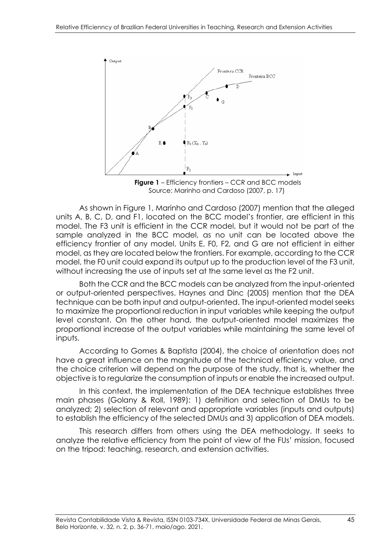

**Figure 1** – Efficiency frontiers – CCR and BCC models Source: Marinho and Cardoso (2007, p. 17)

As shown in Figure 1, Marinho and Cardoso (2007) mention that the alleged units A, B, C, D, and F1, located on the BCC model's frontier, are efficient in this model. The F3 unit is efficient in the CCR model, but it would not be part of the sample analyzed in the BCC model, as no unit can be located above the efficiency frontier of any model. Units E, F0, F2, and G are not efficient in either model, as they are located below the frontiers. For example, according to the CCR model, the F0 unit could expand its output up to the production level of the F3 unit, without increasing the use of inputs set at the same level as the F2 unit.

Both the CCR and the BCC models can be analyzed from the input-oriented or output-oriented perspectives. Haynes and Dinc (2005) mention that the DEA technique can be both input and output-oriented. The input-oriented model seeks to maximize the proportional reduction in input variables while keeping the output level constant. On the other hand, the output-oriented model maximizes the proportional increase of the output variables while maintaining the same level of inputs.

According to Gomes & Baptista (2004), the choice of orientation does not have a great influence on the magnitude of the technical efficiency value, and the choice criterion will depend on the purpose of the study, that is, whether the objective is to regularize the consumption of inputs or enable the increased output.

In this context, the implementation of the DEA technique establishes three main phases (Golany & Roll, 1989): 1) definition and selection of DMUs to be analyzed; 2) selection of relevant and appropriate variables (inputs and outputs) to establish the efficiency of the selected DMUs and 3) application of DEA models.

This research differs from others using the DEA methodology. It seeks to analyze the relative efficiency from the point of view of the FUs' mission, focused on the tripod: teaching, research, and extension activities.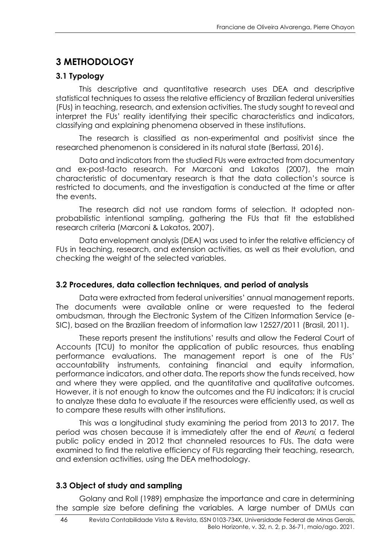# **3 METHODOLOGY**

### **3.1 Typology**

This descriptive and quantitative research uses DEA and descriptive statistical techniques to assess the relative efficiency of Brazilian federal universities (FUs) in teaching, research, and extension activities. The study sought to reveal and interpret the FUs' reality identifying their specific characteristics and indicators, classifying and explaining phenomena observed in these institutions.

The research is classified as non-experimental and positivist since the researched phenomenon is considered in its natural state (Bertassi, 2016).

Data and indicators from the studied FUs were extracted from documentary and ex-post-facto research. For Marconi and Lakatos (2007), the main characteristic of documentary research is that the data collection's source is restricted to documents, and the investigation is conducted at the time or after the events.

The research did not use random forms of selection. It adopted nonprobabilistic intentional sampling, gathering the FUs that fit the established research criteria (Marconi & Lakatos, 2007).

Data envelopment analysis (DEA) was used to infer the relative efficiency of FUs in teaching, research, and extension activities, as well as their evolution, and checking the weight of the selected variables.

### **3.2 Procedures, data collection techniques, and period of analysis**

Data were extracted from federal universities' annual management reports. The documents were available online or were requested to the federal ombudsman, through the Electronic System of the Citizen Information Service (e-SIC), based on the Brazilian freedom of information law 12527/2011 (Brasil, 2011).

These reports present the institutions' results and allow the Federal Court of Accounts (TCU) to monitor the application of public resources, thus enabling performance evaluations. The management report is one of the FUs' accountability instruments, containing financial and equity information, performance indicators, and other data. The reports show the funds received, how and where they were applied, and the quantitative and qualitative outcomes. However, it is not enough to know the outcomes and the FU indicators; it is crucial to analyze these data to evaluate if the resources were efficiently used, as well as to compare these results with other institutions.

This was a longitudinal study examining the period from 2013 to 2017. The period was chosen because it is immediately after the end of *Reuni*, a federal public policy ended in 2012 that channeled resources to FUs. The data were examined to find the relative efficiency of FUs regarding their teaching, research, and extension activities, using the DEA methodology.

### **3.3 Object of study and sampling**

Golany and Roll (1989) emphasize the importance and care in determining the sample size before defining the variables. A large number of DMUs can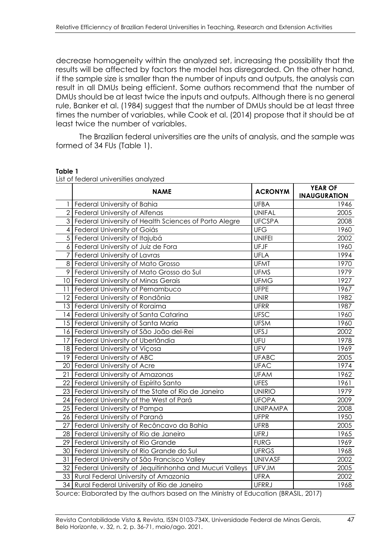decrease homogeneity within the analyzed set, increasing the possibility that the results will be affected by factors the model has disregarded. On the other hand, if the sample size is smaller than the number of inputs and outputs, the analysis can result in all DMUs being efficient. Some authors recommend that the number of DMUs should be at least twice the inputs and outputs. Although there is no general rule, Banker et al. (1984) suggest that the number of DMUs should be at least three times the number of variables, while Cook et al. (2014) propose that it should be at least twice the number of variables.

The Brazilian federal universities are the units of analysis, and the sample was formed of 34 FUs (Table 1).

|    | $\frac{1}{2}$<br><b>NAME</b>                              | <b>ACRONYM</b>  | <b>YEAR OF</b><br><b>INAUGURATION</b> |
|----|-----------------------------------------------------------|-----------------|---------------------------------------|
|    | Federal University of Bahia                               | <b>UFBA</b>     | 1946                                  |
|    | 2 Federal University of Alfenas                           | <b>UNIFAL</b>   | 2005                                  |
|    | 3 Federal University of Health Sciences of Porto Alegre   | <b>UFCSPA</b>   | 2008                                  |
|    | 4 Federal University of Goiás                             | <b>UFG</b>      | 1960                                  |
|    | 5 Federal University of Itajubá                           | <b>UNIFEI</b>   | 2002                                  |
|    | 6 Federal University of Juiz de Fora                      | UFJF            | 1960                                  |
| 7  | Federal University of Lavras                              | <b>UFLA</b>     | 1994                                  |
|    | 8   Federal University of Mato Grosso                     | <b>UFMT</b>     | 1970                                  |
| 9  | Federal University of Mato Grosso do Sul                  | <b>UFMS</b>     | 1979                                  |
|    | 10 Federal University of Minas Gerais                     | <b>UFMG</b>     | 1927                                  |
| 11 | Federal University of Pernambuco                          | <b>UFPE</b>     | 1967                                  |
|    | 12 Federal University of Rondônia                         | <b>UNIR</b>     | 1982                                  |
|    | 13 Federal University of Roraima                          | <b>UFRR</b>     | 1987                                  |
|    | 14 Federal University of Santa Catarina                   | <b>UFSC</b>     | 1960                                  |
|    | 15 Federal University of Santa Maria                      | <b>UFSM</b>     | 1960                                  |
|    | 16 Federal University of São João del-Rei                 | <b>UFSJ</b>     | 2002                                  |
|    | 17 Federal University of Uberlândia                       | UFU             | 1978                                  |
|    | 18 Federal University of Viçosa                           | UFV             | 1969                                  |
|    | 19 Federal University of ABC                              | <b>UFABC</b>    | 2005                                  |
|    | 20 Federal University of Acre                             | <b>UFAC</b>     | 1974                                  |
| 21 | Federal University of Amazonas                            | <b>UFAM</b>     | 1962                                  |
| 22 | Federal University of Espírito Santo                      | <b>UFES</b>     | 1961                                  |
|    | 23 Federal University of the State of Rio de Janeiro      | <b>UNIRIO</b>   | 1979                                  |
|    | 24 Federal University of the West of Pará                 | <b>UFOPA</b>    | 2009                                  |
|    | 25 Federal University of Pampa                            | <b>UNIPAMPA</b> | 2008                                  |
|    | 26 Federal University of Paraná                           | <b>UFPR</b>     | 1950                                  |
| 27 | Federal University of Recôncavo da Bahia                  | <b>UFRB</b>     | 2005                                  |
|    | 28 Federal University of Rio de Janeiro                   | <b>UFRJ</b>     | 1965                                  |
|    | 29 Federal University of Rio Grande                       | <b>FURG</b>     | 1969                                  |
|    | 30 Federal University of Rio Grande do Sul                | <b>UFRGS</b>    | 1968                                  |
| 31 | Federal University of São Francisco Valley                | <b>UNIVASF</b>  | 2002                                  |
|    | 32 Federal University of Jequitinhonha and Mucuri Valleys | <b>UFVJM</b>    | 2005                                  |
|    | 33 Rural Federal University of Amazonia                   | <b>UFRA</b>     | 2002                                  |
|    | 34 Rural Federal University of Rio de Janeiro             | <b>UFRRJ</b>    | 1968                                  |

#### **Table 1**

List of federal universities analyzed

Source: Elaborated by the authors based on the Ministry of Education (BRASIL, 2017)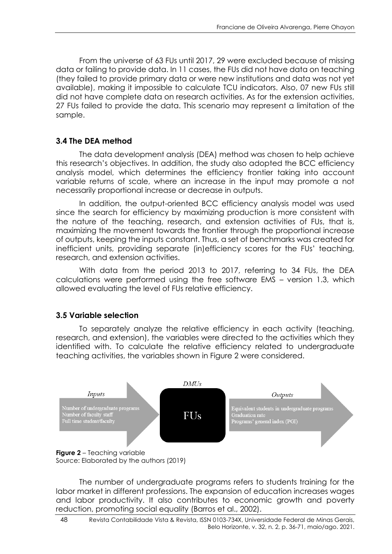From the universe of 63 FUs until 2017, 29 were excluded because of missing data or failing to provide data. In 11 cases, the FUs did not have data on teaching (they failed to provide primary data or were new institutions and data was not yet available), making it impossible to calculate TCU indicators. Also, 07 new FUs still did not have complete data on research activities. As for the extension activities, 27 FUs failed to provide the data. This scenario may represent a limitation of the sample.

### **3.4 The DEA method**

The data development analysis (DEA) method was chosen to help achieve this research's objectives. In addition, the study also adopted the BCC efficiency analysis model, which determines the efficiency frontier taking into account variable returns of scale, where an increase in the input may promote a not necessarily proportional increase or decrease in outputs.

In addition, the output-oriented BCC efficiency analysis model was used since the search for efficiency by maximizing production is more consistent with the nature of the teaching, research, and extension activities of FUs, that is, maximizing the movement towards the frontier through the proportional increase of outputs, keeping the inputs constant. Thus, a set of benchmarks was created for inefficient units, providing separate (in)efficiency scores for the FUs' teaching, research, and extension activities.

With data from the period 2013 to 2017, referring to 34 FUs, the DEA calculations were performed using the free software EMS – version 1.3, which allowed evaluating the level of FUs relative efficiency.

#### **3.5 Variable selection**

To separately analyze the relative efficiency in each activity (teaching, research, and extension), the variables were directed to the activities which they identified with. To calculate the relative efficiency related to undergraduate teaching activities, the variables shown in Figure 2 were considered.



Source: Elaborated by the authors (2019)

The number of undergraduate programs refers to students training for the labor market in different professions. The expansion of education increases wages and labor productivity. It also contributes to economic growth and poverty reduction, promoting social equality (Barros et al., 2002).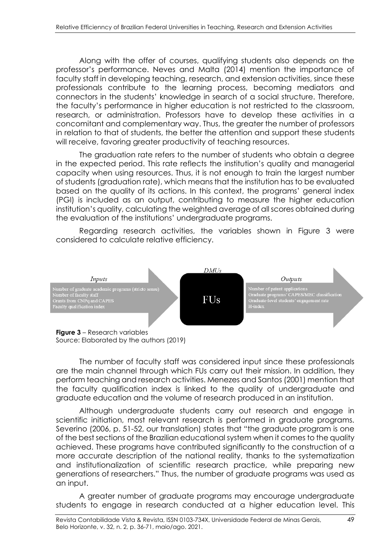Along with the offer of courses, qualifying students also depends on the professor's performance. Neves and Malta (2014) mention the importance of faculty staff in developing teaching, research, and extension activities, since these professionals contribute to the learning process, becoming mediators and connectors in the students' knowledge in search of a social structure. Therefore, the faculty's performance in higher education is not restricted to the classroom, research, or administration. Professors have to develop these activities in a concomitant and complementary way. Thus, the greater the number of professors in relation to that of students, the better the attention and support these students will receive, favoring greater productivity of teaching resources.

The graduation rate refers to the number of students who obtain a degree in the expected period. This rate reflects the institution's quality and managerial capacity when using resources. Thus, it is not enough to train the largest number of students (graduation rate), which means that the institution has to be evaluated based on the quality of its actions. In this context, the programs' general index (PGI) is included as an output, contributing to measure the higher education institution's quality, calculating the weighted average of all scores obtained during the evaluation of the institutions' undergraduate programs.

Regarding research activities, the variables shown in Figure 3 were considered to calculate relative efficiency.



**Figure 3** – Research variables Source: Elaborated by the authors (2019)

The number of faculty staff was considered input since these professionals are the main channel through which FUs carry out their mission. In addition, they perform teaching and research activities. Menezes and Santos (2001) mention that the faculty qualification index is linked to the quality of undergraduate and graduate education and the volume of research produced in an institution.

Although undergraduate students carry out research and engage in scientific initiation, most relevant research is performed in graduate programs. Severino (2006, p. 51-52, our translation) states that "the graduate program is one of the best sections of the Brazilian educational system when it comes to the quality achieved. These programs have contributed significantly to the construction of a more accurate description of the national reality, thanks to the systematization and institutionalization of scientific research practice, while preparing new generations of researchers." Thus, the number of graduate programs was used as an input.

A greater number of graduate programs may encourage undergraduate students to engage in research conducted at a higher education level. This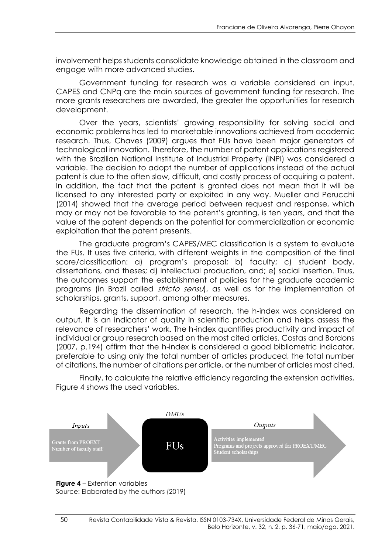involvement helps students consolidate knowledge obtained in the classroom and engage with more advanced studies.

Government funding for research was a variable considered an input. CAPES and CNPq are the main sources of government funding for research. The more grants researchers are awarded, the greater the opportunities for research development.

Over the years, scientists' growing responsibility for solving social and economic problems has led to marketable innovations achieved from academic research. Thus, Chaves (2009) argues that FUs have been major generators of technological innovation. Therefore, the number of patent applications registered with the Brazilian National Institute of Industrial Property (INPI) was considered a variable. The decision to adopt the number of applications instead of the actual patent is due to the often slow, difficult, and costly process of acquiring a patent. In addition, the fact that the patent is granted does not mean that it will be licensed to any interested party or exploited in any way. Mueller and Perucchi (2014) showed that the average period between request and response, which may or may not be favorable to the patent's granting, is ten years, and that the value of the patent depends on the potential for commercialization or economic exploitation that the patent presents.

The graduate program's CAPES/MEC classification is a system to evaluate the FUs. It uses five criteria, with different weights in the composition of the final score/classification: a) program's proposal; b) faculty; c) student body, dissertations, and theses; d) intellectual production, and; e) social insertion. Thus, the outcomes support the establishment of policies for the graduate academic programs (in Brazil called *stricto sensu*), as well as for the implementation of scholarships, grants, support, among other measures.

Regarding the dissemination of research, the h-index was considered an output. It is an indicator of quality in scientific production and helps assess the relevance of researchers' work. The h-index quantifies productivity and impact of individual or group research based on the most cited articles. Costas and Bordons (2007, p.194) affirm that the h-index is considered a good bibliometric indicator, preferable to using only the total number of articles produced, the total number of citations, the number of citations per article, or the number of articles most cited.

Finally, to calculate the relative efficiency regarding the extension activities, Figure 4 shows the used variables.

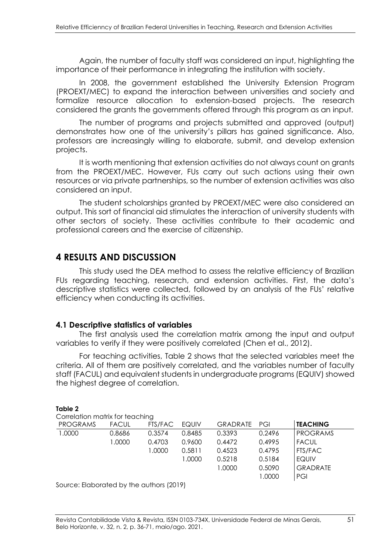Again, the number of faculty staff was considered an input, highlighting the importance of their performance in integrating the institution with society.

In 2008, the government established the University Extension Program (PROEXT/MEC) to expand the interaction between universities and society and formalize resource allocation to extension-based projects. The research considered the grants the governments offered through this program as an input.

The number of programs and projects submitted and approved (output) demonstrates how one of the university's pillars has gained significance. Also, professors are increasingly willing to elaborate, submit, and develop extension projects.

It is worth mentioning that extension activities do not always count on grants from the PROEXT/MEC. However, FUs carry out such actions using their own resources or via private partnerships, so the number of extension activities was also considered an input.

The student scholarships granted by PROEXT/MEC were also considered an output. This sort of financial aid stimulates the interaction of university students with other sectors of society. These activities contribute to their academic and professional careers and the exercise of citizenship.

## **4 RESULTS AND DISCUSSION**

This study used the DEA method to assess the relative efficiency of Brazilian FUs regarding teaching, research, and extension activities. First, the data's descriptive statistics were collected, followed by an analysis of the FUs' relative efficiency when conducting its activities.

#### **4.1 Descriptive statistics of variables**

The first analysis used the correlation matrix among the input and output variables to verify if they were positively correlated (Chen et al., 2012).

For teaching activities, Table 2 shows that the selected variables meet the criteria. All of them are positively correlated, and the variables number of faculty staff (FACUL) and equivalent students in undergraduate programs (EQUIV) showed the highest degree of correlation.

#### **Table 2**  Correlation matrix for teaching PROGRAMS FACUL FTS/FAC EQUIV GRADRATE PGI **TEACHING** 1.0000 0.8686 0.3574 0.8485 0.3393 0.2496 PROGRAMS 1.0000 0.4703 0.9600 0.4472 0.4995 FACUL 1.0000 0.5811 0.4523 0.4795 FTS/FAC 1.0000 0.5218 0.5184 EQUIV 1.0000 0.5090 GRADRATE 1.0000 PGI

Source: Elaborated by the authors (2019)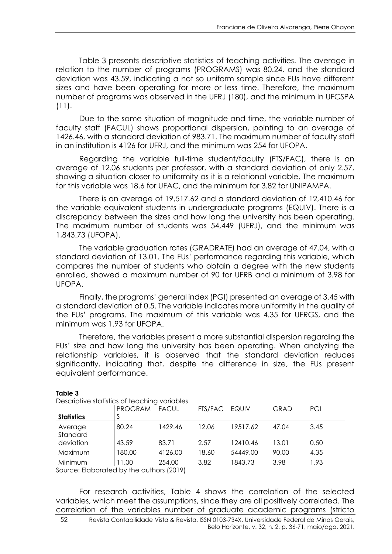Table 3 presents descriptive statistics of teaching activities. The average in relation to the number of programs (PROGRAMS) was 80.24, and the standard deviation was 43.59, indicating a not so uniform sample since FUs have different sizes and have been operating for more or less time. Therefore, the maximum number of programs was observed in the UFRJ (180), and the minimum in UFCSPA (11).

Due to the same situation of magnitude and time, the variable number of faculty staff (FACUL) shows proportional dispersion, pointing to an average of 1426.46, with a standard deviation of 983.71. The maximum number of faculty staff in an institution is 4126 for UFRJ, and the minimum was 254 for UFOPA.

Regarding the variable full-time student/faculty (FTS/FAC), there is an average of 12.06 students per professor, with a standard deviation of only 2.57, showing a situation closer to uniformity as it is a relational variable. The maximum for this variable was 18.6 for UFAC, and the minimum for 3.82 for UNIPAMPA.

There is an average of 19,517.62 and a standard deviation of 12,410.46 for the variable equivalent students in undergraduate programs (EQUIV). There is a discrepancy between the sizes and how long the university has been operating. The maximum number of students was 54,449 (UFRJ), and the minimum was 1,843.73 (UFOPA).

The variable graduation rates (GRADRATE) had an average of 47.04, with a standard deviation of 13.01. The FUs' performance regarding this variable, which compares the number of students who obtain a degree with the new students enrolled, showed a maximum number of 90 for UFRB and a minimum of 3.98 for UFOPA.

Finally, the programs' general index (PGI) presented an average of 3.45 with a standard deviation of 0.5. The variable indicates more uniformity in the quality of the FUs' programs. The maximum of this variable was 4.35 for UFRGS, and the minimum was 1.93 for UFOPA.

Therefore, the variables present a more substantial dispersion regarding the FUs' size and how long the university has been operating. When analyzing the relationship variables, it is observed that the standard deviation reduces significantly, indicating that, despite the difference in size, the FUs present equivalent performance.

|                                          | Descriptive statistics of teaching variables |              |         |          |             |      |  |  |  |  |
|------------------------------------------|----------------------------------------------|--------------|---------|----------|-------------|------|--|--|--|--|
|                                          | <b>PROGRAM</b>                               | <b>FACUL</b> | FTS/FAC | EQUIV    | <b>GRAD</b> | PGI  |  |  |  |  |
| <b>Statistics</b>                        |                                              |              |         |          |             |      |  |  |  |  |
| Average<br>Standard                      | 80.24                                        | 1429.46      | 12.06   | 19517.62 | 47.04       | 3.45 |  |  |  |  |
| deviation                                | 43.59                                        | 83.71        | 2.57    | 12410.46 | 13.01       | 0.50 |  |  |  |  |
| Maximum                                  | 180.00                                       | 4126.00      | 18.60   | 54449.00 | 90.00       | 4.35 |  |  |  |  |
| Minimum                                  | 11.00                                        | 254.00       | 3.82    | 1843.73  | 3.98        | 1.93 |  |  |  |  |
| Source: Elaborated by the authors (2019) |                                              |              |         |          |             |      |  |  |  |  |

**Table 3** 

Descriptive statistics of teaching variables

For research activities, Table 4 shows the correlation of the selected variables, which meet the assumptions, since they are all positively correlated. The correlation of the variables number of graduate academic programs (stricto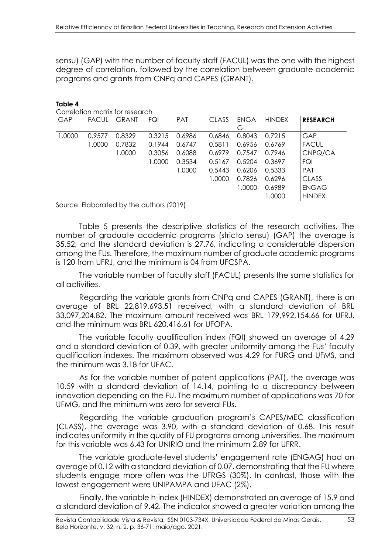sensu) (GAP) with the number of faculty staff (FACUL) was the one with the highest degree of correlation, followed by the correlation between graduate academic programs and grants from CNPq and CAPES (GRANT).

| Table 4<br>Correlation matrix for research |              |                                          |        |            |        |                  |               |                 |  |
|--------------------------------------------|--------------|------------------------------------------|--------|------------|--------|------------------|---------------|-----------------|--|
| GAP                                        | <b>FACUL</b> | <b>GRANT</b>                             | FQI    | <b>PAT</b> | CLASS  | <b>ENGA</b><br>G | <b>HINDEX</b> | <b>RESEARCH</b> |  |
| 1.0000                                     | 0.9577       | 0.8329                                   | 0.3215 | 0.6986     | 0.6846 | 0.8043           | 0.7215        | GAP             |  |
|                                            | 1.0000       | 0.7832                                   | 0.1944 | 0.6747     | 0.5811 | 0.6956           | 0.6769        | <b>FACUL</b>    |  |
|                                            |              | 1.0000                                   | 0.3056 | 0.6088     | 0.6979 | 0.7547           | 0.7946        | CNPQ/CA         |  |
|                                            |              |                                          | 1.0000 | 0.3534     | 0.5167 | 0.5204           | 0.3697        | FQI             |  |
|                                            |              |                                          |        | 1.0000     | 0.5443 | 0.6206           | 0.5333        | <b>PAT</b>      |  |
|                                            |              |                                          |        |            | 1.0000 | 0.7826           | 0.6296        | CLASS           |  |
|                                            |              |                                          |        |            |        | 1.0000           | 0.6989        | <b>ENGAG</b>    |  |
|                                            |              |                                          |        |            |        |                  | 1.0000        | <b>HINDEX</b>   |  |
|                                            |              | Source: Elaborated by the authors (2019) |        |            |        |                  |               |                 |  |

Table 5 presents the descriptive statistics of the research activities. The number of graduate academic programs (stricto sensu) (GAP) the average is 35.52, and the standard deviation is 27.76, indicating a considerable dispersion among the FUs. Therefore, the maximum number of graduate academic programs is 120 from UFRJ, and the minimum is 04 from UFCSPA.

The variable number of faculty staff (FACUL) presents the same statistics for all activities.

Regarding the variable grants from CNPq and CAPES (GRANT), there is an average of BRL 22,819,693.51 received, with a standard deviation of BRL 33,097,204.82. The maximum amount received was BRL 179,992,154.66 for UFRJ, and the minimum was BRL 620,416.61 for UFOPA.

The variable faculty qualification index (FQI) showed an average of 4.29 and a standard deviation of 0.39, with greater uniformity among the FUs' faculty qualification indexes. The maximum observed was 4.29 for FURG and UFMS, and the minimum was 3.18 for UFAC.

As for the variable number of patent applications (PAT), the average was 10.59 with a standard deviation of 14.14, pointing to a discrepancy between innovation depending on the FU. The maximum number of applications was 70 for UFMG, and the minimum was zero for several FUs.

Regarding the variable graduation program's CAPES/MEC classification (CLASS), the average was 3.90, with a standard deviation of 0.68. This result indicates uniformity in the quality of FU programs among universities. The maximum for this variable was 6.43 for UNIRIO and the minimum 2.89 for UFRR.

The variable graduate-level students' engagement rate (ENGAG) had an average of 0.12 with a standard deviation of 0.07, demonstrating that the FU where students engage more often was the UFRGS (30%). In contrast, those with the lowest engagement were UNIPAMPA and UFAC (2%).

Finally, the variable h-index (HINDEX) demonstrated an average of 15.9 and a standard deviation of 9.42. The indicator showed a greater variation among the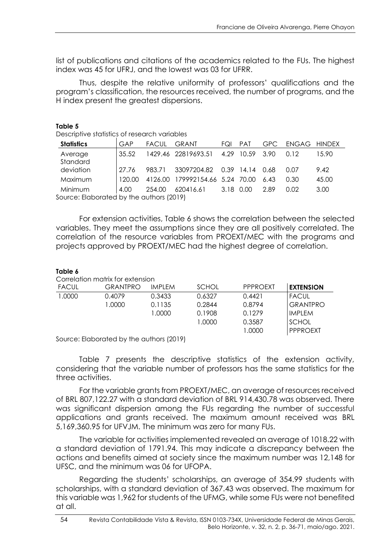list of publications and citations of the academics related to the FUs. The highest index was 45 for UFRJ, and the lowest was 03 for UFRR.

Thus, despite the relative uniformity of professors' qualifications and the program's classification, the resources received, the number of programs, and the H index present the greatest dispersions.

| Descriptive statistics of research variables |        |              |                                 |     |                 |            |              |       |  |
|----------------------------------------------|--------|--------------|---------------------------------|-----|-----------------|------------|--------------|-------|--|
| <b>Statistics</b>                            | GAP    | <b>FACUL</b> | <b>GRANT</b>                    | FQI | <b>PAT</b>      | <b>GPC</b> | ENGAG HINDEX |       |  |
| Average<br>Standard                          | 35.52  |              | 1429.46 22819693.51             |     | 4.29 10.59 3.90 |            | 0.12         | 15.90 |  |
| deviation                                    | 27.76  | 983.71       | 33097204.82                     |     | 0.39 14.14 0.68 |            | 0.07         | 9.42  |  |
| Maximum                                      | 120.00 |              | 4126.00 179992154.66 5.24 70.00 |     |                 | 6.43       | 0.30         | 45.00 |  |
| Minimum                                      | 4.00   | 254.00       | 620416.61 3.18 0.00             |     |                 | 2.89       | 0.02         | 3.00  |  |
| Source: Elaborated by the authors (2019)     |        |              |                                 |     |                 |            |              |       |  |

For extension activities, Table 6 shows the correlation between the selected variables. They meet the assumptions since they are all positively correlated. The correlation of the resource variables from PROEXT/MEC with the programs and projects approved by PROEXT/MEC had the highest degree of correlation.

#### **Table 6**

**Table 5** 

Correlation matrix for extension

| <b>FACUL</b> | <b>GRANTPRO</b> | IMPI FM | <b>SCHOL</b> | <b>PPPROEXT</b> | <b>EXTENSION</b> |
|--------------|-----------------|---------|--------------|-----------------|------------------|
| 1.0000       | 0.4079          | 0.3433  | 0.6327       | 0.4421          | <b>FACUL</b>     |
|              | 1.0000          | 0.1135  | 0.2844       | 0.8794          | <b>GRANTPRO</b>  |
|              |                 | 1.0000  | 0.1908       | 0.1279          | IMPLEM           |
|              |                 |         | 1.0000       | 0.3587          | <b>SCHOL</b>     |
|              |                 |         |              | 1.0000          | <b>PPPROEXT</b>  |
|              |                 |         |              |                 |                  |

Source: Elaborated by the authors (2019)

Table 7 presents the descriptive statistics of the extension activity, considering that the variable number of professors has the same statistics for the three activities.

For the variable grants from PROEXT/MEC, an average of resources received of BRL 807,122.27 with a standard deviation of BRL 914,430.78 was observed. There was significant dispersion among the FUs regarding the number of successful applications and grants received. The maximum amount received was BRL 5,169,360.95 for UFVJM. The minimum was zero for many FUs.

The variable for activities implemented revealed an average of 1018.22 with a standard deviation of 1791.94. This may indicate a discrepancy between the actions and benefits aimed at society since the maximum number was 12,148 for UFSC, and the minimum was 06 for UFOPA.

Regarding the students' scholarships, an average of 354.99 students with scholarships, with a standard deviation of 367.43 was observed. The maximum for this variable was 1,962 for students of the UFMG, while some FUs were not benefited at all.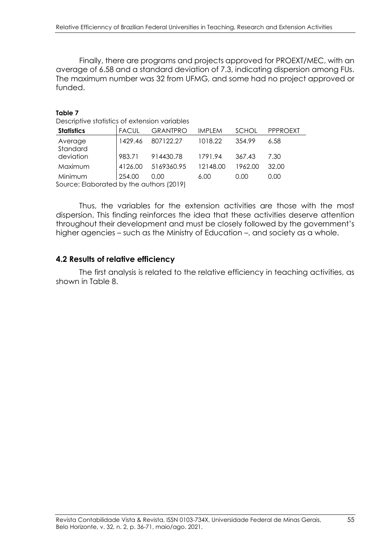Finally, there are programs and projects approved for PROEXT/MEC, with an average of 6.58 and a standard deviation of 7.3, indicating dispersion among FUs. The maximum number was 32 from UFMG, and some had no project approved or funded.

#### **Table 7**

Descriptive statistics of extension variables

| <b>Statistics</b>                        | <b>FACUL</b> | <b>GRANTPRO</b> | <b>IMPLEM</b> | <b>SCHOL</b> | <b>PPPROEXT</b> |
|------------------------------------------|--------------|-----------------|---------------|--------------|-----------------|
| Average<br>Standard                      | 1429.46      | 807122.27       | 1018.22       | 354.99       | 6.58            |
| deviation                                | 983.71       | 914430.78       | 1791.94       | 367.43       | 7.30            |
| Maximum                                  | 4126.00      | 5169360.95      | 12148.00      | 1962.00      | 32.00           |
| Minimum                                  | 254.00       | 0.00            | 6.00          | 0.00         | 0.00            |
| Source: Elaborated by the authors (2019) |              |                 |               |              |                 |

Thus, the variables for the extension activities are those with the most dispersion. This finding reinforces the idea that these activities deserve attention throughout their development and must be closely followed by the government's higher agencies – such as the Ministry of Education –, and society as a whole.

#### **4.2 Results of relative efficiency**

The first analysis is related to the relative efficiency in teaching activities, as shown in Table 8.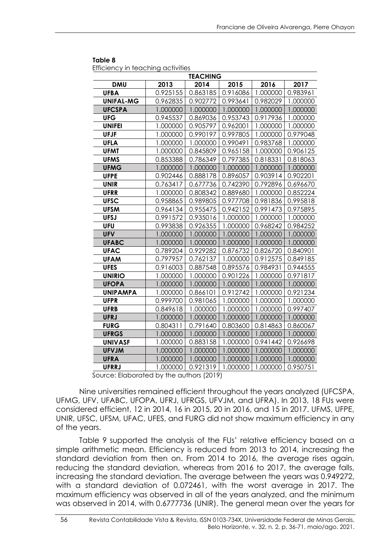|                  | <b>TEACHING</b> |          |          |          |          |  |  |  |  |  |  |  |
|------------------|-----------------|----------|----------|----------|----------|--|--|--|--|--|--|--|
| <b>DMU</b>       | 2013            | 2014     | 2015     | 2016     | 2017     |  |  |  |  |  |  |  |
| <b>UFBA</b>      | 0.925155        | 0.863185 | 0.916086 | 1.000000 | 0.983961 |  |  |  |  |  |  |  |
| <b>UNIFAL-MG</b> | 0.962835        | 0.902772 | 0.993641 | 0.982029 | 1.000000 |  |  |  |  |  |  |  |
| <b>UFCSPA</b>    | 1.000000        | 1.000000 | 1.000000 | 1.000000 | 1.000000 |  |  |  |  |  |  |  |
| <b>UFG</b>       | 0.945537        | 0.869036 | 0.953743 | 0.917936 | 1.000000 |  |  |  |  |  |  |  |
| <b>UNIFEI</b>    | 1.000000        | 0.905797 | 0.962001 | 1.000000 | 1.000000 |  |  |  |  |  |  |  |
| <b>UFJF</b>      | 1.000000        | 0.990197 | 0.997805 | 1.000000 | 0.979048 |  |  |  |  |  |  |  |
| <b>UFLA</b>      | 1.000000        | 1.000000 | 0.990491 | 0.983768 | 1.000000 |  |  |  |  |  |  |  |
| <b>UFMT</b>      | 1.000000        | 0.845809 | 0.965158 | 1.000000 | 0.906125 |  |  |  |  |  |  |  |
| <b>UFMS</b>      | 0.853388        | 0.786349 | 0.797385 | 0.818331 | 0.818063 |  |  |  |  |  |  |  |
| <b>UFMG</b>      | 1.000000        | 1.000000 | 1.000000 | 1.000000 | 1.000000 |  |  |  |  |  |  |  |
| <b>UFPE</b>      | 0.902446        | 0.888178 | 0.896057 | 0.903914 | 0.902201 |  |  |  |  |  |  |  |
| <b>UNIR</b>      | 0.763417        | 0.677736 | 0.742390 | 0.792896 | 0.696670 |  |  |  |  |  |  |  |
| <b>UFRR</b>      | 1.000000        | 0.808342 | 0.889680 | 1.000000 | 0.852224 |  |  |  |  |  |  |  |
| <b>UFSC</b>      | 0.958865        | 0.989805 | 0.977708 | 0.981836 | 0.995818 |  |  |  |  |  |  |  |
| <b>UFSM</b>      | 0.964134        | 0.955475 | 0.942152 | 0.991473 | 0.975895 |  |  |  |  |  |  |  |
| <b>UFSJ</b>      | 0.991572        | 0.935016 | 1.000000 | 1.000000 | 1.000000 |  |  |  |  |  |  |  |
| <b>UFU</b>       | 0.993838        | 0.926355 | 1.000000 | 0.968242 | 0.984252 |  |  |  |  |  |  |  |
| <b>UFV</b>       | 1.000000        | 1.000000 | 1.000000 | 1.000000 | 1.000000 |  |  |  |  |  |  |  |
| <b>UFABC</b>     | 1.000000        | 1.000000 | 1.000000 | 1.000000 | 1.000000 |  |  |  |  |  |  |  |
| <b>UFAC</b>      | 0.789204        | 0.929282 | 0.876732 | 0.826720 | 0.840901 |  |  |  |  |  |  |  |
| <b>UFAM</b>      | 0.797957        | 0.762137 | 1.000000 | 0.912575 | 0.849185 |  |  |  |  |  |  |  |
| <b>UFES</b>      | 0.916003        | 0.887548 | 0.895576 | 0.984931 | 0.944555 |  |  |  |  |  |  |  |
| <b>UNIRIO</b>    | 1.000000        | 1.000000 | 0.901226 | 1.000000 | 0.971817 |  |  |  |  |  |  |  |
| <b>UFOPA</b>     | 1.000000        | 1.000000 | 1.000000 | 1.000000 | 1.000000 |  |  |  |  |  |  |  |
| <b>UNIPAMPA</b>  | 1.000000        | 0.866101 | 0.912742 | 1.000000 | 0.921234 |  |  |  |  |  |  |  |
| <b>UFPR</b>      | 0.999700        | 0.981065 | 1.000000 | 1.000000 | 1.000000 |  |  |  |  |  |  |  |
| <b>UFRB</b>      | 0.849618        | 1.000000 | 1.000000 | 1.000000 | 0.997407 |  |  |  |  |  |  |  |
| <b>UFRJ</b>      | 1.000000        | 1.000000 | 1.000000 | 1.000000 | 1.000000 |  |  |  |  |  |  |  |
| <b>FURG</b>      | 0.804311        | 0.791640 | 0.803600 | 0.814863 | 0.860067 |  |  |  |  |  |  |  |
| <b>UFRGS</b>     | 1.000000        | 1.000000 | 1.000000 | 1.000000 | 1.000000 |  |  |  |  |  |  |  |
| <b>UNIVASF</b>   | 1.000000        | 0.883158 | 1.000000 | 0.941442 | 0.926698 |  |  |  |  |  |  |  |
| <b>UFVJM</b>     | 1.000000        | 1.000000 | 1.000000 | 1.000000 | 1.000000 |  |  |  |  |  |  |  |
| <b>UFRA</b>      | 1.000000        | 1.000000 | 1.000000 | 1.000000 | 1.000000 |  |  |  |  |  |  |  |
| <b>UFRRJ</b>     | 1.000000        | 0.921319 | 1.000000 | 1.000000 | 0.950751 |  |  |  |  |  |  |  |

#### **Table 8**

Efficiency in teaching activities

Source: Elaborated by the authors (2019)

Nine universities remained efficient throughout the years analyzed (UFCSPA, UFMG, UFV, UFABC, UFOPA, UFRJ, UFRGS, UFVJM, and UFRA). In 2013, 18 FUs were considered efficient, 12 in 2014, 16 in 2015, 20 in 2016, and 15 in 2017. UFMS, UFPE, UNIR, UFSC, UFSM, UFAC, UFES, and FURG did not show maximum efficiency in any of the years.

Table 9 supported the analysis of the FUs' relative efficiency based on a simple arithmetic mean. Efficiency is reduced from 2013 to 2014, increasing the standard deviation from then on. From 2014 to 2016, the average rises again, reducing the standard deviation, whereas from 2016 to 2017, the average falls, increasing the standard deviation. The average between the years was 0.949272, with a standard deviation of 0.072461, with the worst average in 2017. The maximum efficiency was observed in all of the years analyzed, and the minimum was observed in 2014, with 0.6777736 (UNIR). The general mean over the years for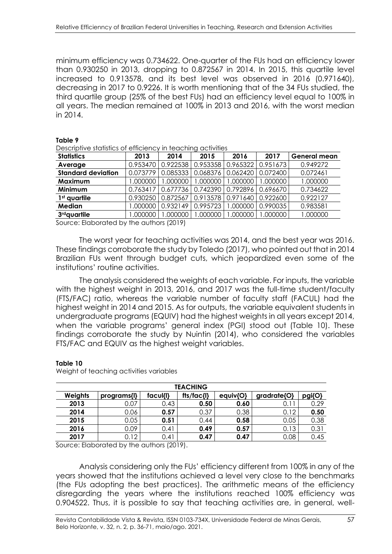minimum efficiency was 0.734622. One-quarter of the FUs had an efficiency lower than 0.930250 in 2013, dropping to 0.872567 in 2014. In 2015, this quartile level increased to 0.913578, and its best level was observed in 2016 (0.971640), decreasing in 2017 to 0.9226. It is worth mentioning that of the 34 FUs studied, the third quartile group (25% of the best FUs) had an efficiency level equal to 100% in all years. The median remained at 100% in 2013 and 2016, with the worst median in 2014.

| Descriptive statistics of efficiency in teaching activities |             |          |          |          |          |                     |  |  |  |
|-------------------------------------------------------------|-------------|----------|----------|----------|----------|---------------------|--|--|--|
| <b>Statistics</b>                                           | 2013        | 2014     | 2015     | 2016     | 2017     | <b>General mean</b> |  |  |  |
| Average                                                     | 0.953470    | 0.922538 | 0.953358 | 0.965322 | 0.951673 | 0.949272            |  |  |  |
| <b>Standard deviation</b>                                   | 0.073779    | 0.085333 | 0.068376 | 0.062420 | 0.072400 | 0.072461            |  |  |  |
| Maximum                                                     | 1.000000    | 000000.1 | 1.000000 | 000000.  | 000000.1 | 000000.             |  |  |  |
| Minimum                                                     | 0.763417    | 0.677736 | 0.742390 | 0.792896 | 0.696670 | 0.734622            |  |  |  |
| 1 <sup>st</sup> quartile                                    | 0.930250    | 0.872567 | 0.913578 | 0.971640 | 0.922600 | 0.922127            |  |  |  |
| Median                                                      | 1.000000    | 0.932149 | 0.995723 | .000000  | 0.990035 | 0.983581            |  |  |  |
| 3rd quartile                                                | 1.000000    | .000000  | 1.000000 | .000000  | .000000  | 000000.             |  |  |  |
| $- \cdot$ $-$<br>. .<br>$\sim$                              | .<br>$\sim$ | 100121   |          |          |          |                     |  |  |  |

**Table 9** 

Source: Elaborated by the authors (2019)

The worst year for teaching activities was 2014, and the best year was 2016. These findings corroborate the study by Toledo (2017), who pointed out that in 2014 Brazilian FUs went through budget cuts, which jeopardized even some of the institutions' routine activities.

The analysis considered the weights of each variable. For inputs, the variable with the highest weight in 2013, 2016, and 2017 was the full-time student/faculty (FTS/FAC) ratio, whereas the variable number of faculty staff (FACUL) had the highest weight in 2014 and 2015. As for outputs, the variable equivalent students in undergraduate programs (EQUIV) had the highest weights in all years except 2014, when the variable programs' general index (PGI) stood out (Table 10). These findings corroborate the study by Nuintin (2014), who considered the variables FTS/FAC and EQUIV as the highest weight variables.

|         | <b>TEACHING</b> |          |                           |          |                    |        |  |  |  |  |  |  |
|---------|-----------------|----------|---------------------------|----------|--------------------|--------|--|--|--|--|--|--|
| Weights | programs{l}     | facul{l} | $\frac{f}{s}/\frac{f}{s}$ | equiv{O} | $gradrate$ $\{O\}$ | pgi{O} |  |  |  |  |  |  |
| 2013    | 0.07            | 0.43     | 0.50                      | 0.60     | 0.11               | 0.29   |  |  |  |  |  |  |
| 2014    | 0.06            | 0.57     | 0.37                      | 0.38     | 0.12               | 0.50   |  |  |  |  |  |  |
| 2015    | ე.05            | 0.51     | 0.44                      | 0.58     | 0.05               | 0.38   |  |  |  |  |  |  |
| 2016    | 0.09            | 0.41     | 0.49                      | 0.57     | 0.13               | 0.31   |  |  |  |  |  |  |
| 2017    | 0.12            | 0.41     | 0.47                      | 0.47     | 0.08               | 0.45   |  |  |  |  |  |  |

**Table 10** 

Weight of teaching activities variables

Source: Elaborated by the authors (2019).

Analysis considering only the FUs' efficiency different from 100% in any of the years showed that the institutions achieved a level very close to the benchmarks (the FUs adopting the best practices). The arithmetic means of the efficiency disregarding the years where the institutions reached 100% efficiency was 0.904522. Thus, it is possible to say that teaching activities are, in general, well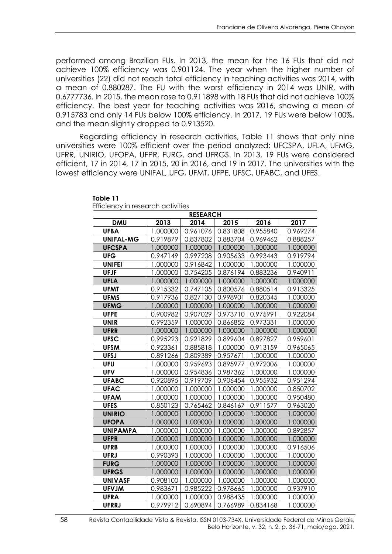performed among Brazilian FUs. In 2013, the mean for the 16 FUs that did not achieve 100% efficiency was 0.901124. The year when the higher number of universities (22) did not reach total efficiency in teaching activities was 2014, with a mean of 0.880287. The FU with the worst efficiency in 2014 was UNIR, with 0.6777736. In 2015, the mean rose to 0.911898 with 18 FUs that did not achieve 100% efficiency. The best year for teaching activities was 2016, showing a mean of 0.915783 and only 14 FUs below 100% efficiency. In 2017, 19 FUs were below 100%, and the mean slightly dropped to 0.913520.

Regarding efficiency in research activities, Table 11 shows that only nine universities were 100% efficient over the period analyzed: UFCSPA, UFLA, UFMG, UFRR, UNIRIO, UFOPA, UFPR, FURG, and UFRGS. In 2013, 19 FUs were considered efficient, 17 in 2014, 17 in 2015, 20 in 2016, and 19 in 2017. The universities with the lowest efficiency were UNIFAL, UFG, UFMT, UFPE, UFSC, UFABC, and UFES.

| <b>RESEARCH</b>  |          |          |          |          |          |  |  |  |  |  |
|------------------|----------|----------|----------|----------|----------|--|--|--|--|--|
| <b>DMU</b>       | 2013     | 2014     | 2015     | 2016     | 2017     |  |  |  |  |  |
| <b>UFBA</b>      | 1.000000 | 0.961076 | 0.831808 | 0.955840 | 0.969274 |  |  |  |  |  |
| <b>UNIFAL-MG</b> | 0.919879 | 0.837802 | 0.883704 | 0.969462 | 0.888257 |  |  |  |  |  |
| <b>UFCSPA</b>    | 1.000000 | 1.000000 | 1.000000 | 1.000000 | 1.000000 |  |  |  |  |  |
| <b>UFG</b>       | 0.947149 | 0.997208 | 0.905633 | 0.993443 | 0.919794 |  |  |  |  |  |
| <b>UNIFEI</b>    | 1.000000 | 0.916842 | 1.000000 | 1.000000 | 1.000000 |  |  |  |  |  |
| <b>UFJF</b>      | 1.000000 | 0.754205 | 0.876194 | 0.883236 | 0.940911 |  |  |  |  |  |
| <b>UFLA</b>      | 1.000000 | 1.000000 | 1.000000 | 1.000000 | 1.000000 |  |  |  |  |  |
| <b>UFMT</b>      | 0.915332 | 0.747105 | 0.800576 | 0.880514 | 0.913325 |  |  |  |  |  |
| <b>UFMS</b>      | 0.917936 | 0.827130 | 0.998901 | 0.820345 | 1.000000 |  |  |  |  |  |
| <b>UFMG</b>      | 1.000000 | 1.000000 | 1.000000 | 1.000000 | 1.000000 |  |  |  |  |  |
| <b>UFPE</b>      | 0.900982 | 0.907029 | 0.973710 | 0.975991 | 0.922084 |  |  |  |  |  |
| <b>UNIR</b>      | 0.992359 | 1.000000 | 0.866852 | 0.973331 | 1.000000 |  |  |  |  |  |
| <b>UFRR</b>      | 1.000000 | 1.000000 | 1.000000 | 1.000000 | 1.000000 |  |  |  |  |  |
| <b>UFSC</b>      | 0.995223 | 0.921829 | 0.899604 | 0.897827 | 0.959601 |  |  |  |  |  |
| <b>UFSM</b>      | 0.923361 | 0.885818 | 1.000000 | 0.913159 | 0.965065 |  |  |  |  |  |
| <b>UFSJ</b>      | 0.891266 | 0.809389 | 0.957671 | 1.000000 | 1.000000 |  |  |  |  |  |
| <b>UFU</b>       | 1.000000 | 0.959693 | 0.895977 | 0.972006 | 1.000000 |  |  |  |  |  |
| <b>UFV</b>       | 1.000000 | 0.954836 | 0.987362 | 1.000000 | 1.000000 |  |  |  |  |  |
| <b>UFABC</b>     | 0.920895 | 0.919709 | 0.906454 | 0.955932 | 0.951294 |  |  |  |  |  |
| <b>UFAC</b>      | 1.000000 | 1.000000 | 1.000000 | 1.000000 | 0.850702 |  |  |  |  |  |
| <b>UFAM</b>      | 1.000000 | 1.000000 | 1.000000 | 1.000000 | 0.950480 |  |  |  |  |  |
| <b>UFES</b>      | 0.850123 | 0.765462 | 0.846167 | 0.911577 | 0.963020 |  |  |  |  |  |
| <b>UNIRIO</b>    | 1.000000 | 1.000000 | 1.000000 | 1.000000 | 1.000000 |  |  |  |  |  |
| <b>UFOPA</b>     | 1.000000 | 1.000000 | 1.000000 | 1.000000 | 1.000000 |  |  |  |  |  |
| <b>UNIPAMPA</b>  | 1.000000 | 1.000000 | 1.000000 | 1.000000 | 0.892857 |  |  |  |  |  |
| <b>UFPR</b>      | 1.000000 | 1.000000 | 1.000000 | 1.000000 | 1.000000 |  |  |  |  |  |
| <b>UFRB</b>      | 1.000000 | 1.000000 | 1.000000 | 1.000000 | 0.916506 |  |  |  |  |  |
| <b>UFRJ</b>      | 0.990393 | 1.000000 | 1.000000 | 1.000000 | 1.000000 |  |  |  |  |  |
| <b>FURG</b>      | 1.000000 | 1.000000 | 1.000000 | 1.000000 | 1.000000 |  |  |  |  |  |
| <b>UFRGS</b>     | 1.000000 | 1.000000 | 1.000000 | 1.000000 | 1.000000 |  |  |  |  |  |
| <b>UNIVASF</b>   | 0.908100 | 1.000000 | 1.000000 | 1.000000 | 1.000000 |  |  |  |  |  |
| <b>UFVJM</b>     | 0.983671 | 0.985222 | 0.978665 | 1.000000 | 0.937910 |  |  |  |  |  |
| <b>UFRA</b>      | 1.000000 | 1.000000 | 0.988435 | 1.000000 | 1.000000 |  |  |  |  |  |
| <b>UFRRJ</b>     | 0.979912 | 0.690894 | 0.766989 | 0.834168 | 1.000000 |  |  |  |  |  |

 **Table 11**

Efficiency in research activities

<sup>58</sup> Revista Contabilidade Vista & Revista, ISSN 0103-734X, Universidade Federal de Minas Gerais, Belo Horizonte, v. 32, n. 2, p. 36-71, maio/ago. 2021.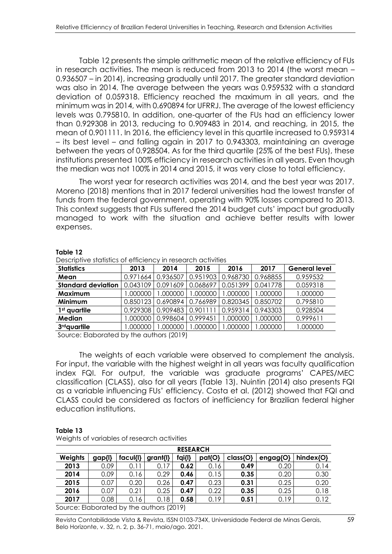Table 12 presents the simple arithmetic mean of the relative efficiency of FUs in research activities. The mean is reduced from 2013 to 2014 (the worst mean – 0.936507 – in 2014), increasing gradually until 2017. The greater standard deviation was also in 2014. The average between the years was 0.959532 with a standard deviation of 0.059318. Efficiency reached the maximum in all years, and the minimum was in 2014, with 0.690894 for UFRRJ. The average of the lowest efficiency levels was 0.795810. In addition, one-quarter of the FUs had an efficiency lower than 0.929308 in 2013, reducing to 0.909483 in 2014, and reaching, in 2015, the mean of 0.901111. In 2016, the efficiency level in this quartile increased to 0.959314 – its best level – and falling again in 2017 to 0.943303, maintaining an average between the years of 0.928504. As for the third quartile (25% of the best FUs), these institutions presented 100% efficiency in research activities in all years. Even though the median was not 100% in 2014 and 2015, it was very close to total efficiency.

The worst year for research activities was 2014, and the best year was 2017. Moreno (2018) mentions that in 2017 federal universities had the lowest transfer of funds from the federal government, operating with 90% losses compared to 2013. This context suggests that FUs suffered the 2014 budget cuts' impact but gradually managed to work with the situation and achieve better results with lower expenses.

#### **Table 12**

| <b>Statistics</b>         | 2013     | 2014     | 2015     | 2016     | 2017                | <b>General level</b> |  |  |  |
|---------------------------|----------|----------|----------|----------|---------------------|----------------------|--|--|--|
| Mean                      | 0.971664 | 0.936507 | 0.951903 | 0.968730 | 0.968855            | 0.959532             |  |  |  |
| <b>Standard deviation</b> | 0.043109 | 0.091609 | 0.068697 | 0.051399 | 0.041778            | 0.059318             |  |  |  |
| Maximum                   | 1.000000 | 1.000000 | .000000  | 1.000000 | 1.000000            | 1.000000             |  |  |  |
| Minimum                   | 0.850123 | 0.690894 | 0.766989 |          | 0.820345   0.850702 | 0.795810             |  |  |  |
| 1 <sup>st</sup> quartile  | 0.929308 | 0.909483 | 0.901111 |          | 0.959314 0.943303   | 0.928504             |  |  |  |
| <b>Median</b>             | 1.000000 | 0.998604 | 0.999451 | 1.000000 | 000000.1            | 0.999611             |  |  |  |
| 3 <sup>rd</sup> quartile  | 000000.1 | 000000.1 | .000000  | 000000.  | .000000             | 1.000000             |  |  |  |

Descriptive statistics of efficiency in research activities

Source: Elaborated by the authors (2019)

The weights of each variable were observed to complement the analysis. For input, the variable with the highest weight in all years was faculty qualification index FQI. For output, the variable was graduate programs' CAPES/MEC classification (CLASS), also for all years (Table 13). Nuintin (2014) also presents FQI as a variable influencing FUs' efficiency. Costa et al. (2012) showed that FQI and CLASS could be considered as factors of inefficiency for Brazilian federal higher education institutions.

| <b>RESEARCH</b>                          |        |        |          |        |        |          |               |           |  |  |  |
|------------------------------------------|--------|--------|----------|--------|--------|----------|---------------|-----------|--|--|--|
| Weights                                  | gap{l} | facull | grant{l} | fqi{l} | pat{O} | class{O} | $engag$ $O$ } | hindex{O} |  |  |  |
| 2013                                     | 0.09   | 0.11   | 0.17     | 0.62   | 0.16   | 0.49     | 0.20          | 0.14      |  |  |  |
| 2014                                     | 0.09   | 0.16   | 0.29     | 0.46   | 0.15   | 0.35     | 0.20          | 0.30      |  |  |  |
| 2015                                     | 0.07   | 0.20   | 0.26     | 0.47   | 0.23   | 0.31     | 0.25          | 0.20      |  |  |  |
| 2016                                     | 0.07   | 0.21   | 0.25     | 0.47   | 0.22   | 0.35     | 0.25          | 0.18      |  |  |  |
| 2017                                     | 0.08   | 0.16   | 0.18     | 0.58   | 0.19   | 0.51     | 0.19          | 0.12      |  |  |  |
| Source: Elaborated by the authors (2019) |        |        |          |        |        |          |               |           |  |  |  |

**Table 13**  Weights of variables of research activities

Revista Contabilidade Vista & Revista, ISSN 0103-734X, Universidade Federal de Minas Gerais, 59 Belo Horizonte, v. 32, n. 2, p. 36-71, maio/ago. 2021.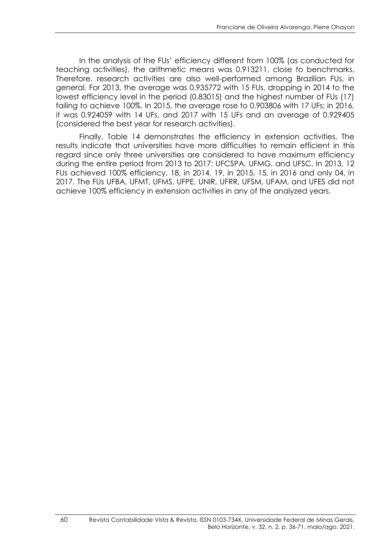In the analysis of the FUs' efficiency different from 100% (as conducted for teaching activities), the arithmetic means was 0.913211, close to benchmarks. Therefore, research activities are also well-performed among Brazilian FUs, in general. For 2013, the average was 0.935772 with 15 FUs, dropping in 2014 to the lowest efficiency level in the period (0.83015) and the highest number of FUs (17) failing to achieve 100%. In 2015, the average rose to 0.903806 with 17 UFs; in 2016, it was 0.924059 with 14 UFs, and 2017 with 15 UFs and an average of 0.929405 (considered the best year for research activities).

Finally, Table 14 demonstrates the efficiency in extension activities. The results indicate that universities have more difficulties to remain efficient in this regard since only three universities are considered to have maximum efficiency during the entire period from 2013 to 2017: UFCSPA, UFMG, and UFSC. In 2013, 12 FUs achieved 100% efficiency, 18, in 2014, 19, in 2015, 15, in 2016 and only 04, in 2017. The FUs UFBA, UFMT, UFMS, UFPE, UNIR, UFRR, UFSM, UFAM, and UFES did not achieve 100% efficiency in extension activities in any of the analyzed years.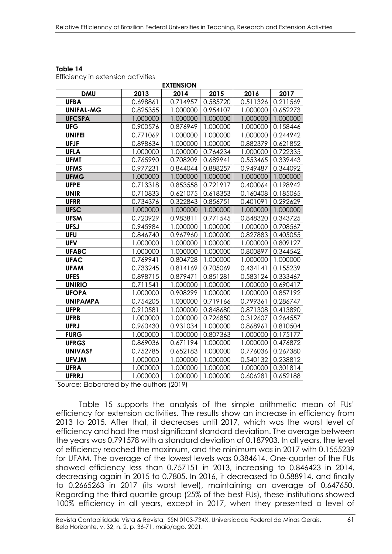| <b>EXTENSION</b> |          |          |          |          |          |  |
|------------------|----------|----------|----------|----------|----------|--|
| <b>DMU</b>       | 2013     | 2014     | 2015     | 2016     | 2017     |  |
| <b>UFBA</b>      | 0.698861 | 0.714957 | 0.585720 | 0.511326 | 0.211569 |  |
| <b>UNIFAL-MG</b> | 0.825355 | 1.000000 | 0.954107 | 1.000000 | 0.652273 |  |
| <b>UFCSPA</b>    | 1.000000 | 1.000000 | 1.000000 | 1.000000 | 1.000000 |  |
| <b>UFG</b>       | 0.900576 | 0.876949 | 1.000000 | 1.000000 | 0.158446 |  |
| <b>UNIFEI</b>    | 0.771069 | 1.000000 | 1.000000 | 1.000000 | 0.244942 |  |
| <b>UFJF</b>      | 0.898634 | 1.000000 | 1.000000 | 0.882379 | 0.621852 |  |
| <b>UFLA</b>      | 1.000000 | 1.000000 | 0.764234 | 1.000000 | 0.722335 |  |
| <b>UFMT</b>      | 0.765990 | 0.708209 | 0.689941 | 0.553465 | 0.339443 |  |
| <b>UFMS</b>      | 0.977231 | 0.844044 | 0.888257 | 0.949487 | 0.344092 |  |
| <b>UFMG</b>      | 1.000000 | 1.000000 | 1.000000 | 1.000000 | 1.000000 |  |
| <b>UFPE</b>      | 0.713318 | 0.853558 | 0.721917 | 0.400064 | 0.198942 |  |
| <b>UNIR</b>      | 0.710833 | 0.621075 | 0.618353 | 0.160408 | 0.185065 |  |
| <b>UFRR</b>      | 0.734376 | 0.322843 | 0.856751 | 0.401091 | 0.292629 |  |
| <b>UFSC</b>      | 1.000000 | 1.000000 | 1.000000 | 1.000000 | 1.000000 |  |
| <b>UFSM</b>      | 0.720929 | 0.983811 | 0.771545 | 0.848320 | 0.343725 |  |
| <b>UFSJ</b>      | 0.945984 | 1.000000 | 1.000000 | 1.000000 | 0.708567 |  |
| <b>UFU</b>       | 0.846740 | 0.967960 | 1.000000 | 0.827883 | 0.405055 |  |
| <b>UFV</b>       | 1.000000 | 1.000000 | 1.000000 | 1.000000 | 0.809127 |  |
| <b>UFABC</b>     | 1.000000 | 1.000000 | 1.000000 | 0.800897 | 0.344542 |  |
| <b>UFAC</b>      | 0.769941 | 0.804728 | 1.000000 | 1.000000 | 1.000000 |  |
| <b>UFAM</b>      | 0.733245 | 0.814169 | 0.705069 | 0.434141 | 0.155239 |  |
| <b>UFES</b>      | 0.898715 | 0.879471 | 0.851281 | 0.583124 | 0.333467 |  |
| <b>UNIRIO</b>    | 0.711541 | 1.000000 | 1.000000 | 1.000000 | 0.690417 |  |
| <b>UFOPA</b>     | 1.000000 | 0.908299 | 1.000000 | 1.000000 | 0.857192 |  |
| <b>UNIPAMPA</b>  | 0.754205 | 1.000000 | 0.719166 | 0.799361 | 0.286747 |  |
| <b>UFPR</b>      | 0.910581 | 1.000000 | 0.848680 | 0.871308 | 0.413890 |  |
| <b>UFRB</b>      | 1.000000 | 1.000000 | 0.726850 | 0.312607 | 0.264557 |  |
| <b>UFRJ</b>      | 0.960430 | 0.931034 | 1.000000 | 0.868961 | 0.810504 |  |
| <b>FURG</b>      | 1.000000 | 1.000000 | 0.807363 | 1.000000 | 0.175177 |  |
| <b>UFRGS</b>     | 0.869036 | 0.671194 | 1.000000 | 1.000000 | 0.476872 |  |
| <b>UNIVASF</b>   | 0.752785 | 0.652183 | 1.000000 | 0.776036 | 0.267380 |  |
| <b>UFVJM</b>     | 1.000000 | 1.000000 | 1.000000 | 0.540132 | 0.238812 |  |
| <b>UFRA</b>      | 1.000000 | 1.000000 | 1.000000 | 1.000000 | 0.301814 |  |
| <b>UFRRJ</b>     | 1.000000 | 1.000000 | 1.000000 | 0.606281 | 0.652188 |  |

**Table 14**  Efficiency in extension activities

Source: Elaborated by the authors (2019)

Table 15 supports the analysis of the simple arithmetic mean of FUs' efficiency for extension activities. The results show an increase in efficiency from 2013 to 2015. After that, it decreases until 2017, which was the worst level of efficiency and had the most significant standard deviation. The average between the years was 0.791578 with a standard deviation of 0.187903. In all years, the level of efficiency reached the maximum, and the minimum was in 2017 with 0.1555239 for UFAM. The average of the lowest levels was 0.384614. One-quarter of the FUs showed efficiency less than 0.757151 in 2013, increasing to 0.846423 in 2014, decreasing again in 2015 to 0.7805. In 2016, it decreased to 0.588914, and finally to 0.2665263 in 2017 (its worst level), maintaining an average of 0.647650. Regarding the third quartile group (25% of the best FUs), these institutions showed 100% efficiency in all years, except in 2017, when they presented a level of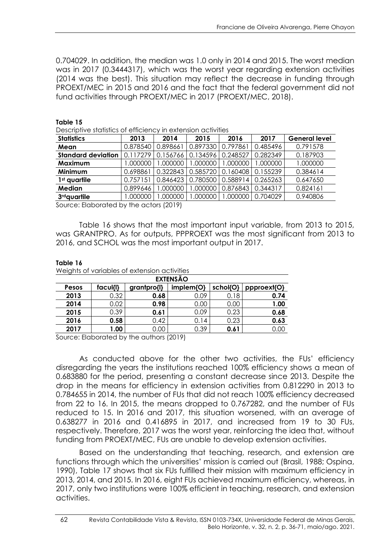0.704029. In addition, the median was 1.0 only in 2014 and 2015. The worst median was in 2017 (0.3444317), which was the worst year regarding extension activities (2014 was the best). This situation may reflect the decrease in funding through PROEXT/MEC in 2015 and 2016 and the fact that the federal government did not fund activities through PROEXT/MEC in 2017 (PROEXT/MEC, 2018).

| Descriptive statistics of efficiency in extension activities |          |          |          |          |          |                      |
|--------------------------------------------------------------|----------|----------|----------|----------|----------|----------------------|
| <b>Statistics</b>                                            | 2013     | 2014     | 2015     | 2016     | 2017     | <b>General level</b> |
| Mean                                                         | 0.878540 | 0.898661 | 0.897330 | 0.797861 | 0.485496 | 0.791578             |
| <b>Standard deviation</b>                                    | 0.117279 | 0.156766 | 0.134596 | 0.248527 | 0.282349 | 0.187903             |
| Maximum                                                      | 000000.1 | 1.000000 | .000000  | .000000  | 000000   | 1.000000             |
| Minimum                                                      | 0.698861 | 0.322843 | 0.585720 | 0.160408 | 0.155239 | 0.384614             |
| 1 <sup>st</sup> quartile                                     | 0.757151 | 0.846423 | 0.780500 | 0.588914 | 0.265263 | 0.647650             |
| <b>Median</b>                                                | 0.899646 | 1.000000 | .000000  | 0.876843 | 0.344317 | 0.824161             |
| 3 <sup>rd</sup> quartile                                     | 000000.  | 000000.1 | .000000  | .000000. | 0.704029 | 0.940806             |

**Table 15** 

Source: Elaborated by the actors (2019)

Table 16 shows that the most important input variable, from 2013 to 2015, was GRANTPRO. As for outputs, PPPROEXT was the most significant from 2013 to 2016, and SCHOL was the most important output in 2017.

#### **Table 16**

|  |  | Weights of variables of extension activities |  |
|--|--|----------------------------------------------|--|
|  |  |                                              |  |

| <b>EXTENSÃO</b> |          |             |           |          |             |  |
|-----------------|----------|-------------|-----------|----------|-------------|--|
| Pesos           | facul{l} | grantpro{l} | implem{O} | schol{O} | ppproext{O} |  |
| 2013            | 0.32     | 0.68        | 0.09      | 0.18     | 0.74        |  |
| 2014            | 0.02     | 0.98        | 0.00      | 0.00     | 1.00        |  |
| 2015            | 0.39     | 0.61        | 0.09      | 0.23     | 0.68        |  |
| 2016            | 0.58     | 0.42        | 0.14      | 0.23     | 0.63        |  |
| 2017            | 1.00     | 0.00        | 0.39      | 0.61     | J.OC        |  |

Source: Elaborated by the authors (2019)

As conducted above for the other two activities, the FUs' efficiency disregarding the years the institutions reached 100% efficiency shows a mean of 0.683880 for the period, presenting a constant decrease since 2013. Despite the drop in the means for efficiency in extension activities from 0.812290 in 2013 to 0.784655 in 2014, the number of FUs that did not reach 100% efficiency decreased from 22 to 16. In 2015, the means dropped to 0.767282, and the number of FUs reduced to 15. In 2016 and 2017, this situation worsened, with an average of 0.638277 in 2016 and 0.416895 in 2017, and increased from 19 to 30 FUs, respectively. Therefore, 2017 was the worst year, reinforcing the idea that, without funding from PROEXT/MEC, FUs are unable to develop extension activities.

Based on the understanding that teaching, research, and extension are functions through which the universities' mission is carried out (Brasil, 1988; Ospina, 1990), Table 17 shows that six FUs fulfilled their mission with maximum efficiency in 2013, 2014, and 2015. In 2016, eight FUs achieved maximum efficiency, whereas, in 2017, only two institutions were 100% efficient in teaching, research, and extension activities.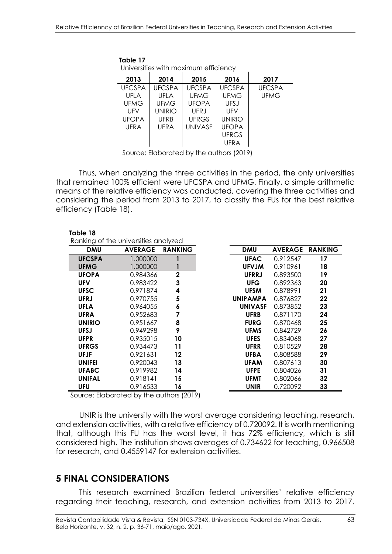| Table 17      |               | Universities with maximum efficiency |               |               |
|---------------|---------------|--------------------------------------|---------------|---------------|
| 2013          | 2014          | 2015                                 | 2016          | 2017          |
| <b>UFCSPA</b> | <b>UFCSPA</b> | <b>UFCSPA</b>                        | <b>UFCSPA</b> | <b>UFCSPA</b> |
| UFLA          | UFLA          | <b>UFMG</b>                          | <b>UFMG</b>   | UFMG          |
| <b>UFMG</b>   | <b>UFMG</b>   | <b>UFOPA</b>                         | <b>UFSJ</b>   |               |
| UFV           | <b>UNIRIO</b> | <b>UFRJ</b>                          | UFV           |               |
| <b>UFOPA</b>  | <b>UFRB</b>   | <b>UFRGS</b>                         | <b>UNIRIO</b> |               |
| UFRA          | <b>UFRA</b>   | <b>UNIVASF</b>                       | <b>UFOPA</b>  |               |
|               |               |                                      | <b>UFRGS</b>  |               |
|               |               |                                      | UFRA          |               |

Source: Elaborated by the authors (2019)

Thus, when analyzing the three activities in the period, the only universities that remained 100% efficient were UFCSPA and UFMG. Finally, a simple arithmetic means of the relative efficiency was conducted, covering the three activities and considering the period from 2013 to 2017, to classify the FUs for the best relative efficiency (Table 18).

|               | Ranking of the universities analyzed |                |                 |                |                |
|---------------|--------------------------------------|----------------|-----------------|----------------|----------------|
| <b>DMU</b>    | <b>AVERAGE</b>                       | <b>RANKING</b> | <b>DMU</b>      | <b>AVERAGE</b> | <b>RANKING</b> |
| <b>UFCSPA</b> | 1.000000                             |                | <b>UFAC</b>     | 0.912547       | 17             |
| <b>UFMG</b>   | 1.000000                             |                | <b>UFVJM</b>    | 0.910961       | 18             |
| <b>UFOPA</b>  | 0.984366                             | $\mathbf{2}$   | <b>UFRRJ</b>    | 0.893500       | 19             |
| <b>UFV</b>    | 0.983422                             | 3              | <b>UFG</b>      | 0.892363       | 20             |
| <b>UFSC</b>   | 0.971874                             | 4              | <b>UFSM</b>     | 0.878991       | 21             |
| <b>UFRJ</b>   | 0.970755                             | 5              | <b>UNIPAMPA</b> | 0.876827       | 22             |
| <b>UFLA</b>   | 0.964055                             | 6              | <b>UNIVASF</b>  | 0.873852       | 23             |
| <b>UFRA</b>   | 0.952683                             | 7              | <b>UFRB</b>     | 0.871170       | 24             |
| <b>UNIRIO</b> | 0.951667                             | 8              | <b>FURG</b>     | 0.870468       | 25             |
| <b>UFSJ</b>   | 0.949298                             | 9              | <b>UFMS</b>     | 0.842729       | 26             |
| <b>UFPR</b>   | 0.935015                             | 10             | <b>UFES</b>     | 0.834068       | 27             |
| <b>UFRGS</b>  | 0.934473                             | 11             | <b>UFRR</b>     | 0.810529       | 28             |
| <b>UFJF</b>   | 0.921631                             | 12             | <b>UFBA</b>     | 0.808588       | 29             |
| <b>UNIFEI</b> | 0.920043                             | 13             | <b>UFAM</b>     | 0.807613       | 30             |
| <b>UFABC</b>  | 0.919982                             | 14             | <b>UFPE</b>     | 0.804026       | 31             |
| <b>UNIFAL</b> | 0.918141                             | 15             | <b>UFMT</b>     | 0.802066       | 32             |
| UFU           | 0.916533                             | 16             | UNIR            | 0.720092       | 33             |

Source: Elaborated by the authors (2019)

UNIR is the university with the worst average considering teaching, research, and extension activities, with a relative efficiency of 0.720092. It is worth mentioning that, although this FU has the worst level, it has 72% efficiency, which is still considered high. The institution shows averages of 0.734622 for teaching, 0.966508 for research, and 0.4559147 for extension activities.

### **5 FINAL CONSIDERATIONS**

 **Table 18** 

This research examined Brazilian federal universities' relative efficiency regarding their teaching, research, and extension activities from 2013 to 2017.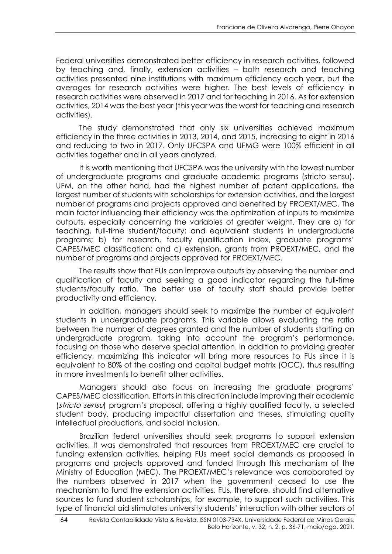Federal universities demonstrated better efficiency in research activities, followed by teaching and, finally, extension activities – both research and teaching activities presented nine institutions with maximum efficiency each year, but the averages for research activities were higher. The best levels of efficiency in research activities were observed in 2017 and for teaching in 2016. As for extension activities, 2014 was the best year (this year was the worst for teaching and research activities).

The study demonstrated that only six universities achieved maximum efficiency in the three activities in 2013, 2014, and 2015, increasing to eight in 2016 and reducing to two in 2017. Only UFCSPA and UFMG were 100% efficient in all activities together and in all years analyzed.

It is worth mentioning that UFCSPA was the university with the lowest number of undergraduate programs and graduate academic programs (stricto sensu). UFM, on the other hand, had the highest number of patent applications, the largest number of students with scholarships for extension activities, and the largest number of programs and projects approved and benefited by PROEXT/MEC. The main factor influencing their efficiency was the optimization of inputs to maximize outputs, especially concerning the variables of greater weight. They are a) for teaching, full-time student/faculty; and equivalent students in undergraduate programs; b) for research, faculty qualification index, graduate programs' CAPES/MEC classification; and c) extension, grants from PROEXT/MEC, and the number of programs and projects approved for PROEXT/MEC.

The results show that FUs can improve outputs by observing the number and qualification of faculty and seeking a good indicator regarding the full-time students/faculty ratio. The better use of faculty staff should provide better productivity and efficiency.

In addition, managers should seek to maximize the number of equivalent students in undergraduate programs. This variable allows evaluating the ratio between the number of degrees granted and the number of students starting an undergraduate program, taking into account the program's performance, focusing on those who deserve special attention. In addition to providing greater efficiency, maximizing this indicator will bring more resources to FUs since it is equivalent to 80% of the costing and capital budget matrix (OCC), thus resulting in more investments to benefit other activities.

Managers should also focus on increasing the graduate programs' CAPES/MEC classification. Efforts in this direction include improving their academic (stricto sensu) program's proposal, offering a highly qualified faculty, a selected student body, producing impactful dissertation and theses, stimulating quality intellectual productions, and social inclusion.

Brazilian federal universities should seek programs to support extension activities. It was demonstrated that resources from PROEXT/MEC are crucial to funding extension activities, helping FUs meet social demands as proposed in programs and projects approved and funded through this mechanism of the Ministry of Education (MEC). The PROEXT/MEC's relevance was corroborated by the numbers observed in 2017 when the government ceased to use the mechanism to fund the extension activities. FUs, therefore, should find alternative sources to fund student scholarships, for example, to support such activities. This type of financial aid stimulates university students' interaction with other sectors of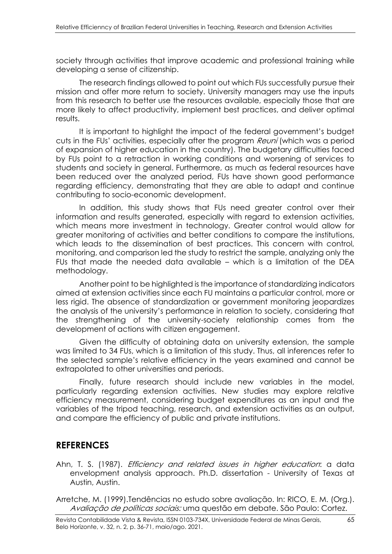society through activities that improve academic and professional training while developing a sense of citizenship.

The research findings allowed to point out which FUs successfully pursue their mission and offer more return to society. University managers may use the inputs from this research to better use the resources available, especially those that are more likely to affect productivity, implement best practices, and deliver optimal results.

It is important to highlight the impact of the federal government's budget cuts in the FUs' activities, especially after the program Reuni (which was a period of expansion of higher education in the country). The budgetary difficulties faced by FUs point to a retraction in working conditions and worsening of services to students and society in general. Furthermore, as much as federal resources have been reduced over the analyzed period, FUs have shown good performance regarding efficiency, demonstrating that they are able to adapt and continue contributing to socio-economic development.

In addition, this study shows that FUs need greater control over their information and results generated, especially with regard to extension activities, which means more investment in technology. Greater control would allow for greater monitoring of activities and better conditions to compare the institutions, which leads to the dissemination of best practices. This concern with control, monitoring, and comparison led the study to restrict the sample, analyzing only the FUs that made the needed data available – which is a limitation of the DEA methodology.

Another point to be highlighted is the importance of standardizing indicators aimed at extension activities since each FU maintains a particular control, more or less rigid. The absence of standardization or government monitoring jeopardizes the analysis of the university's performance in relation to society, considering that the strengthening of the university-society relationship comes from the development of actions with citizen engagement.

Given the difficulty of obtaining data on university extension, the sample was limited to 34 FUs, which is a limitation of this study. Thus, all inferences refer to the selected sample's relative efficiency in the years examined and cannot be extrapolated to other universities and periods.

Finally, future research should include new variables in the model, particularly regarding extension activities. New studies may explore relative efficiency measurement, considering budget expenditures as an input and the variables of the tripod teaching, research, and extension activities as an output, and compare the efficiency of public and private institutions.

## **REFERENCES**

Ahn, T. S. (1987). *Efficiency and related issues in higher education*: a data envelopment analysis approach. Ph.D. dissertation - University of Texas at Austin, Austin.

Arretche, M. (1999).Tendências no estudo sobre avaliação. In: RICO, E. M. (Org.). Avaliação de políticas sociais: uma questão em debate. São Paulo: Cortez.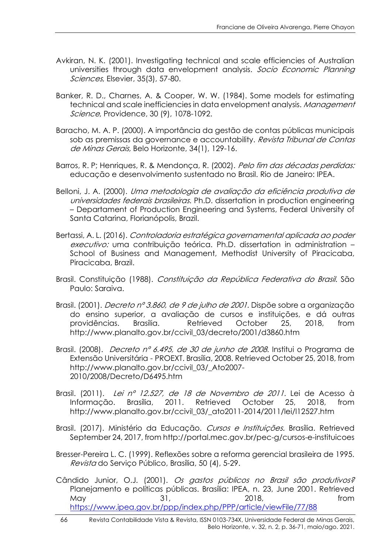- Avkiran, N. K. (2001). Investigating technical and scale efficiencies of Australian universities through data envelopment analysis. Socio Economic Planning Sciences, Elsevier, 35(3), 57-80.
- Banker, R. D., Charnes, A. & Cooper, W. W. (1984). Some models for estimating technical and scale inefficiencies in data envelopment analysis. Management Science, Providence, 30 (9), 1078-1092.
- Baracho, M. A. P. (2000). A importância da gestão de contas públicas municipais sob as premissas da governance e accountability. Revista Tribunal de Contas de Minas Gerais, Belo Horizonte, 34(1), 129-16.
- Barros, R. P; Henriques, R. & Mendonca, R. (2002). Pelo fim das décadas perdidas: educação e desenvolvimento sustentado no Brasil. Rio de Janeiro: IPEA.
- Belloni, J. A. (2000). Uma metodologia de avaliação da eficiência produtiva de universidades federais brasileiras. Ph.D. dissertation in production engineering – Departament of Production Engineering and Systems, Federal University of Santa Catarina, Florianópolis, Brazil.
- Bertassi, A. L. (2016). Controladoria estratégica governamental aplicada ao poder executivo: uma contribuição teórica. Ph.D. dissertation in administration -School of Business and Management, Methodist University of Piracicaba, Piracicaba, Brazil.
- Brasil. Constituição (1988). Constituição da República Federativa do Brasil. São Paulo: Saraiva.
- Brasil. (2001). *Decreto nº 3.860, de 9 de julho de 2001.* Dispõe sobre a organização do ensino superior, a avaliação de cursos e instituições, e dá outras providências. Brasília. Retrieved October 25, 2018, from http://www.planalto.gov.br/ccivil\_03/decreto/2001/d3860.htm
- Brasil. (2008). Decreto nº 6.495, de 30 de junho de 2008. Institui o Programa de Extensão Universitária - PROEXT. Brasília, 2008. Retrieved October 25, 2018, from http://www.planalto.gov.br/ccivil\_03/\_Ato2007- 2010/2008/Decreto/D6495.htm
- Brasil. (2011). Lei nº 12.527, de 18 de Novembro de 2011. Lei de Acesso à Informação. Brasília, 2011. Retrieved October 25, 2018, from http://www.planalto.gov.br/ccivil\_03/\_ato2011-2014/2011/lei/l12527.htm
- Brasil. (2017). Ministério da Educação. Cursos e Instituições. Brasília. Retrieved September 24, 2017, from http://portal.mec.gov.br/pec-g/cursos-e-instituicoes
- Bresser-Pereira L. C. (1999). Reflexões sobre a reforma gerencial brasileira de 1995. Revista do Serviço Público, Brasília, 50 (4), 5-29.
- Cândido Junior, O.J. (2001). Os gastos públicos no Brasil são produtivos? Planejamento e políticas públicas. Brasília: IPEA, n. 23, June 2001. Retrieved May 31, 2018, 50 May 50 May 50 May 50 May 50 May 50 May 50 May 50 May 50 May 50 M <https://www.ipea.gov.br/ppp/index.php/PPP/article/viewFile/77/88>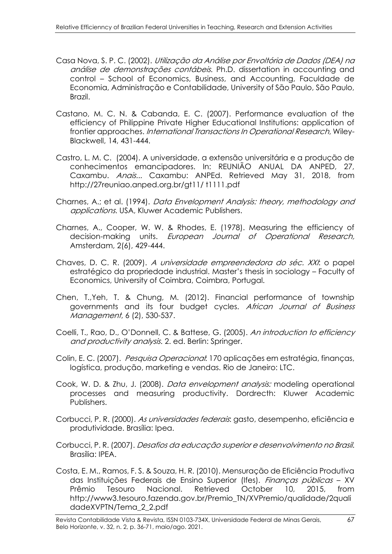- Casa Nova, S. P. C. (2002). Utilização da Análise por Envoltória de Dados (DEA) na análise de demonstrações contábeis. Ph.D. dissertation in accounting and control – School of Economics, Business, and Accounting, Faculdade de Economia, Administração e Contabilidade, University of São Paulo, São Paulo, Brazil.
- Castano, M. C. N. & Cabanda, E. C. (2007). Performance evaluation of the efficiency of Philippine Private Higher Educational Institutions: application of frontier approaches. International Transactions In Operational Research, Wiley-Blackwell, 14, 431-444.
- Castro, L. M. C. (2004). A universidade, a extensão universitária e a produção de conhecimentos emancipadores. In: REUNIÃO ANUAL DA ANPED, 27, Caxambu. Anais... Caxambu: ANPEd. Retrieved May 31, 2018, from http://27reuniao.anped.org.br/gt11/ t1111.pdf
- Charnes, A.; et al. (1994). Data Envelopment Analysis: theory, methodology and applications. USA, Kluwer Academic Publishers.
- Charnes, A., Cooper, W. W. & Rhodes, E. (1978). Measuring the efficiency of decision-making units. European Journal of Operational Research, Amsterdam, 2(6), 429-444.
- Chaves, D. C. R. (2009). A universidade empreendedora do séc. XXI: o papel estratégico da propriedade industrial. Master's thesis in sociology – Faculty of Economics, University of Coimbra, Coimbra, Portugal.
- Chen, T.,Yeh, T. & Chung, M. (2012). Financial performance of township governments and its four budget cycles. African Journal of Business Management, 6 (2), 530-537.
- Coelli, T., Rao, D., O'Donnell, C. & Battese, G. (2005). An introduction to efficiency and productivity analysis. 2. ed. Berlin: Springer.
- Colin, E. C. (2007). Pesquisa Operacional: 170 aplicações em estratégia, finanças, logística, produção, marketing e vendas. Rio de Janeiro: LTC.
- Cook, W. D. & Zhu, J. (2008). Data envelopment analysis: modeling operational processes and measuring productivity. Dordrecth: Kluwer Academic Publishers.
- Corbucci, P. R. (2000). As universidades federais: gasto, desempenho, eficiência e produtividade. Brasília: Ipea.
- Corbucci, P. R. (2007). Desafios da educação superior e desenvolvimento no Brasil. Brasília: IPEA.
- Costa, E. M., Ramos, F. S. & Souza, H. R. (2010). Mensuração de Eficiência Produtiva das Instituições Federais de Ensino Superior (Ifes). Finanças públicas - XV Prêmio Tesouro Nacional. Retrieved October 10, 2015, from http://www3.tesouro.fazenda.gov.br/Premio\_TN/XVPremio/qualidade/2quali dadeXVPTN/Tema\_2\_2.pdf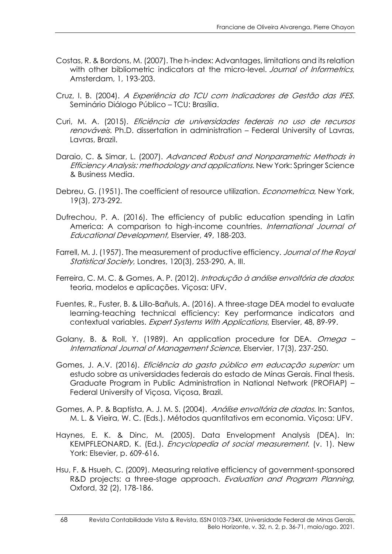- Costas, R. & Bordons, M. (2007). The h-index: Advantages, limitations and its relation with other bibliometric indicators at the micro-level. Journal of Informetrics, Amsterdam, 1, 193-203.
- Cruz, I. B. (2004). A Experiência do TCU com Indicadores de Gestão das IFES. Seminário Diálogo Público – TCU: Brasília.
- Curi, M. A. (2015). Eficiência de universidades federais no uso de recursos renováveis. Ph.D. dissertation in administration – Federal University of Lavras, Lavras, Brazil.
- Daraio, C. & Simar, L. (2007). Advanced Robust and Nonparametric Methods in Efficiency Analysis: methodology and applications. New York: Springer Science & Business Media.
- Debreu, G. (1951). The coefficient of resource utilization. *Econometrica*, New York, 19(3), 273-292.
- Dufrechou, P. A. (2016). The efficiency of public education spending in Latin America: A comparison to high-income countries. International Journal of Educational Development, Elservier, 49, 188-203.
- Farrell, M. J. (1957). The measurement of productive efficiency. *Journal of the Royal* Statistical Society, Londres, 120(3), 253-290, A, III.
- Ferreira, C. M. C. & Gomes, A. P. (2012). Introdução à análise envoltória de dados: teoria, modelos e aplicações. Viçosa: UFV.
- Fuentes, R., Fuster, B. & Lillo-Bañuls, A. (2016). A three-stage DEA model to evaluate learning-teaching technical efficiency: Key performance indicators and contextual variables. Expert Systems With Applications, Elservier, 48, 89-99.
- Golany, B. & Roll, Y. (1989). An application procedure for DEA. Omega International Journal of Management Science, Elservier, 17(3), 237-250.
- Gomes, J. A.V. (2016). Eficiência do gasto público em educação superior: um estudo sobre as universidades federais do estado de Minas Gerais. Final thesis. Graduate Program in Public Administration in National Network (PROFIAP) – Federal University of Viçosa, Viçosa, Brazil.
- Gomes, A. P. & Baptista, A. J. M. S. (2004). Análise envoltória de dados. In: Santos, M. L. & Vieira, W. C. (Eds.). Métodos quantitativos em economia. Viçosa: UFV.
- Haynes, E. K. & Dinc, M. (2005). Data Envelopment Analysis (DEA). In: KEMPFLEONARD, K. (Ed.). Encyclopedia of social measurement. (v. 1). New York: Elsevier, p. 609-616.
- Hsu, F. & Hsueh, C. (2009). Measuring relative efficiency of government-sponsored R&D projects: a three-stage approach. Evaluation and Program Planning, Oxford, 32 (2), 178-186.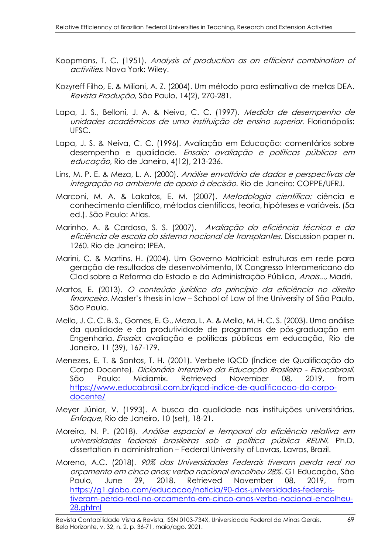- Koopmans, T. C. (1951). Analysis of production as an efficient combination of activities. Nova York: Wiley.
- Kozyreff Filho, E. & Milioni, A. Z. (2004). Um método para estimativa de metas DEA. Revista Produção, São Paulo, 14(2), 270-281.
- Lapa, J. S., Belloni, J. A. & Neiva, C. C. (1997). Medida de desempenho de unidades acadêmicas de uma instituição de ensino superior. Florianópolis: UFSC.
- Lapa, J. S. & Neiva, C. C. (1996). Avaliação em Educação: comentários sobre desempenho e qualidade. Ensaio: avaliação e políticas públicas em educação, Rio de Janeiro, 4(12), 213-236.
- Lins, M. P. E. & Meza, L. A. (2000). Análise envoltória de dados e perspectivas de integração no ambiente de apoio à decisão. Rio de Janeiro: COPPE/UFRJ.
- Marconi, M. A. & Lakatos, E. M. (2007). Metodologia científica: ciência e conhecimento científico, métodos científicos, teoria, hipóteses e variáveis. (5a ed.). São Paulo: Atlas.
- Marinho, A. & Cardoso, S. S. (2007). Avaliação da eficiência técnica e da eficiência de escala do sistema nacional de transplantes. Discussion paper n. 1260. Rio de Janeiro: IPEA.
- Marini, C. & Martins, H. (2004). Um Governo Matricial: estruturas em rede para geração de resultados de desenvolvimento, IX Congresso Interamericano do Clad sobre a Reforma do Estado e da Administração Pública, Anais..., Madri.
- Martos, E. (2013). O conteúdo jurídico do princípio da eficiência no direito financeiro. Master's thesis in law - School of Law of the University of São Paulo, São Paulo.
- Mello, J. C. C. B. S., Gomes, E. G., Meza, L. A. & Mello, M. H. C. S. (2003). Uma análise da qualidade e da produtividade de programas de pós-graduação em Engenharia. Ensaio: avaliação e políticas públicas em educação, Rio de Janeiro, 11 (39), 167-179.
- Menezes, E. T. & Santos, T. H. (2001). Verbete IQCD (Índice de Qualificação do Corpo Docente). Dicionário Interativo da Educação Brasileira - Educabrasil. São Paulo: Midiamix. Retrieved November 08, 2019, from [https://www.educabrasil.com.br/iqcd-indice-de-qualificacao-do-corpo](https://www.educabrasil.com.br/iqcd-indice-de-qualificacao-do-corpo-docente/)[docente/](https://www.educabrasil.com.br/iqcd-indice-de-qualificacao-do-corpo-docente/)
- Meyer Júnior, V. (1993). A busca da qualidade nas instituições universitárias. Enfoque, Rio de Janeiro, 10 (set), 18-21.
- Moreira, N. P. (2018). Análise espacial e temporal da eficiência relativa em universidades federais brasileiras sob a política pública REUNI. Ph.D. dissertation in administration – Federal University of Lavras, Lavras, Brazil.
- Moreno, A.C. (2018). 90% das Universidades Federais tiveram perda real no orçamento em cinco anos; verba nacional encolheu 28%. G1 Educação, São Paulo, June 29, 2018. Retrieved November 08, 2019, from [https://g1.globo.com/educacao/noticia/90-das-universidades-federais](https://g1.globo.com/educacao/noticia/90-das-universidades-federais-tiveram-perda-real-no-orcamento-em-cinco-anos-verba-nacional-encolheu-28.ghtml)[tiveram-perda-real-no-orcamento-em-cinco-anos-verba-nacional-encolheu-](https://g1.globo.com/educacao/noticia/90-das-universidades-federais-tiveram-perda-real-no-orcamento-em-cinco-anos-verba-nacional-encolheu-28.ghtml)[28.ghtml](https://g1.globo.com/educacao/noticia/90-das-universidades-federais-tiveram-perda-real-no-orcamento-em-cinco-anos-verba-nacional-encolheu-28.ghtml)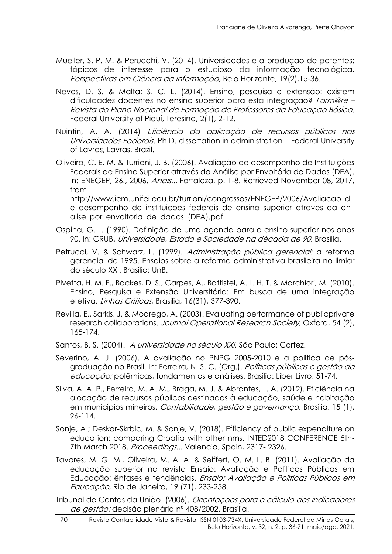- Mueller, S. P. M. & Perucchi, V. (2014). Universidades e a produção de patentes: tópicos de interesse para o estudioso da informação tecnológica. Perspectivas em Ciência da Informação, Belo Horizonte, 19(2),15-36.
- Neves, D. S. & Malta; S. C. L. (2014). Ensino, pesquisa e extensão: existem dificuldades docentes no ensino superior para esta integração? Form@re -Revista do Plano Nacional de Formação de Professores da Educação Básica. Federal University of Piauí, Teresina, 2(1), 2-12.
- Nuintin, A. A. (2014) Eficiência da aplicação de recursos públicos nas Universidades Federais. Ph.D. dissertation in administration – Federal University of Lavras, Lavras, Brazil.
- Oliveira, C. E. M. & Turrioni, J. B. (2006). Avaliação de desempenho de Instituições Federais de Ensino Superior através da Análise por Envoltória de Dados (DEA). In: ENEGEP, 26., 2006. Anais... Fortaleza, p. 1-8. Retrieved November 08, 2017, from

http://www.iem.unifei.edu.br/turrioni/congressos/ENEGEP/2006/Avaliacao\_d e desempenho de instituicoes federais de ensino superior atraves da an alise\_por\_envoltoria\_de\_dados\_(DEA).pdf

- Ospina, G. L. (1990). Definição de uma agenda para o ensino superior nos anos 90. In: CRUB**.** Universidade, Estado e Sociedade na década de 90. Brasília.
- Petrucci, V. & Schwarz, L. (1999). Administração pública gerencial: a reforma gerencial de 1995. Ensaios sobre a reforma administrativa brasileira no limiar do século XXI. Brasília: UnB.
- Pivetta, H. M. F., Backes, D. S., Carpes, A., Battistel, A. L. H. T. & Marchiori, M. (2010). Ensino, Pesquisa e Extensão Universitária: Em busca de uma integração efetiva. Linhas Críticas, Brasília, 16(31), 377-390.
- Revilla, E., Sarkis, J. & Modrego, A. (2003). Evaluating performance of publicprivate research collaborations. Journal Operational Research Society, Oxford, 54 (2), 165-174.
- Santos, B. S. (2004). A universidade no século XXI. São Paulo: Cortez.
- Severino, A. J. (2006). A avaliação no PNPG 2005-2010 e a política de pósgraduação no Brasil. In: Ferreira, N. S. C. (Org.). Políticas públicas e gestão da educação: polêmicas, fundamentos e análises. Brasília: Líber Livro, 51-74.
- Silva, A. A. P., Ferreira, M. A. M., Braga, M. J. & Abrantes, L. A. (2012). Eficiência na alocação de recursos públicos destinados à educação, saúde e habitação em municípios mineiros. Contabilidade, gestão e governança, Brasília, 15 (1), 96-114.
- Sonje, A.; Deskar-Skrbic, M. & Sonje, V. (2018). Efficiency of public expenditure on education: comparing Croatia with other nms. INTED2018 CONFERENCE 5th-7th March 2018. Proceedings... Valencia, Spain, 2317-2326.
- Tavares, M. G. M., Oliveira, M. A. A. & Seiffert, O. M. L. B. (2011). Avaliação da educação superior na revista Ensaio: Avaliação e Políticas Públicas em Educação: ênfases e tendências. Ensaio: Avaliação e Políticas Públicas em Educação, Rio de Janeiro, 19 (71), 233-258.
- Tribunal de Contas da União. (2006). Orientações para o cálculo dos indicadores de gestão: decisão plenária nº 408/2002. Brasília.